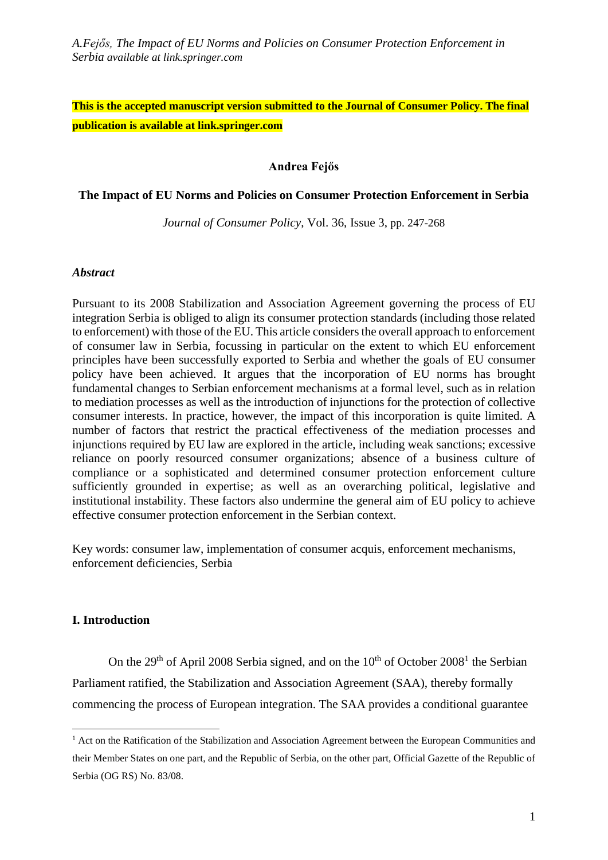# **This is the accepted manuscript version submitted to the Journal of Consumer Policy. The final publication is available at link.springer.com**

#### **Andrea Fejős**

#### **The Impact of EU Norms and Policies on Consumer Protection Enforcement in Serbia**

*Journal of Consumer Policy*, Vol. 36, Issue 3, pp. 247-268

#### *Abstract*

Pursuant to its 2008 Stabilization and Association Agreement governing the process of EU integration Serbia is obliged to align its consumer protection standards (including those related to enforcement) with those of the EU. This article considers the overall approach to enforcement of consumer law in Serbia, focussing in particular on the extent to which EU enforcement principles have been successfully exported to Serbia and whether the goals of EU consumer policy have been achieved. It argues that the incorporation of EU norms has brought fundamental changes to Serbian enforcement mechanisms at a formal level, such as in relation to mediation processes as well as the introduction of injunctions for the protection of collective consumer interests. In practice, however, the impact of this incorporation is quite limited. A number of factors that restrict the practical effectiveness of the mediation processes and injunctions required by EU law are explored in the article, including weak sanctions; excessive reliance on poorly resourced consumer organizations; absence of a business culture of compliance or a sophisticated and determined consumer protection enforcement culture sufficiently grounded in expertise; as well as an overarching political, legislative and institutional instability. These factors also undermine the general aim of EU policy to achieve effective consumer protection enforcement in the Serbian context.

Key words: consumer law, implementation of consumer acquis, enforcement mechanisms, enforcement deficiencies, Serbia

## **I. Introduction**

1

On the  $29<sup>th</sup>$  of April 2008 Serbia signed, and on the  $10<sup>th</sup>$  of October 2008<sup>1</sup> the Serbian Parliament ratified, the Stabilization and Association Agreement (SAA), thereby formally commencing the process of European integration. The SAA provides a conditional guarantee

<sup>&</sup>lt;sup>1</sup> Act on the Ratification of the Stabilization and Association Agreement between the European Communities and their Member States on one part, and the Republic of Serbia, on the other part, Official Gazette of the Republic of Serbia (OG RS) No. 83/08.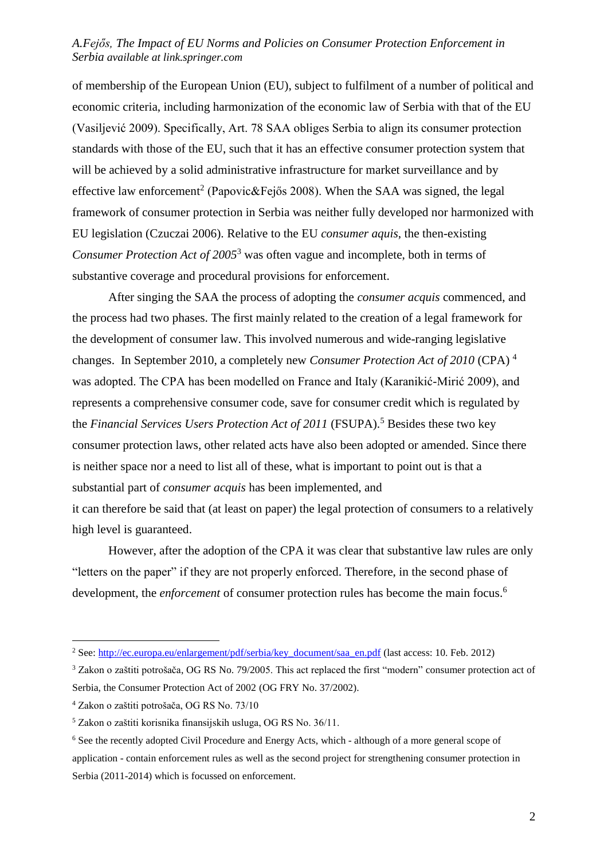of membership of the European Union (EU), subject to fulfilment of a number of political and economic criteria, including harmonization of the economic law of Serbia with that of the EU (Vasiljević 2009). Specifically, Art. 78 SAA obliges Serbia to align its consumer protection standards with those of the EU, such that it has an effective consumer protection system that will be achieved by a solid administrative infrastructure for market surveillance and by effective law enforcement<sup>2</sup> (Papovic&Fejős 2008). When the SAA was signed, the legal framework of consumer protection in Serbia was neither fully developed nor harmonized with EU legislation (Czuczai 2006). Relative to the EU *consumer aquis*, the then-existing *Consumer Protection Act of 2005*<sup>3</sup> was often vague and incomplete, both in terms of substantive coverage and procedural provisions for enforcement.

After singing the SAA the process of adopting the *consumer acquis* commenced, and the process had two phases. The first mainly related to the creation of a legal framework for the development of consumer law. This involved numerous and wide-ranging legislative changes. In September 2010, a completely new *Consumer Protection Act of 2010* (CPA) <sup>4</sup> was adopted. The CPA has been modelled on France and Italy (Karanikić-Mirić 2009), and represents a comprehensive consumer code, save for consumer credit which is regulated by the *Financial Services Users Protection Act of 2011* (FSUPA).<sup>5</sup> Besides these two key consumer protection laws, other related acts have also been adopted or amended. Since there is neither space nor a need to list all of these, what is important to point out is that a substantial part of *consumer acquis* has been implemented, and it can therefore be said that (at least on paper) the legal protection of consumers to a relatively high level is guaranteed.

However, after the adoption of the CPA it was clear that substantive law rules are only "letters on the paper" if they are not properly enforced. Therefore, in the second phase of development, the *enforcement* of consumer protection rules has become the main focus.<sup>6</sup>

<sup>&</sup>lt;sup>2</sup> See: [http://ec.europa.eu/enlargement/pdf/serbia/key\\_document/saa\\_en.pdf](http://ec.europa.eu/enlargement/pdf/serbia/key_document/saa_en.pdf) (last access: 10. Feb. 2012)

<sup>3</sup> Zakon o zaštiti potrošača, OG RS No. 79/2005. This act replaced the first "modern" consumer protection act of Serbia, the Consumer Protection Act of 2002 (OG FRY No. 37/2002).

<sup>4</sup> Zakon o zaštiti potrošača, OG RS No. 73/10

<sup>5</sup> Zakon o zaštiti korisnika finansijskih usluga, OG RS No. 36/11.

<sup>6</sup> See the recently adopted Civil Procedure and Energy Acts, which - although of a more general scope of application - contain enforcement rules as well as the second project for strengthening consumer protection in Serbia (2011-2014) which is focussed on enforcement.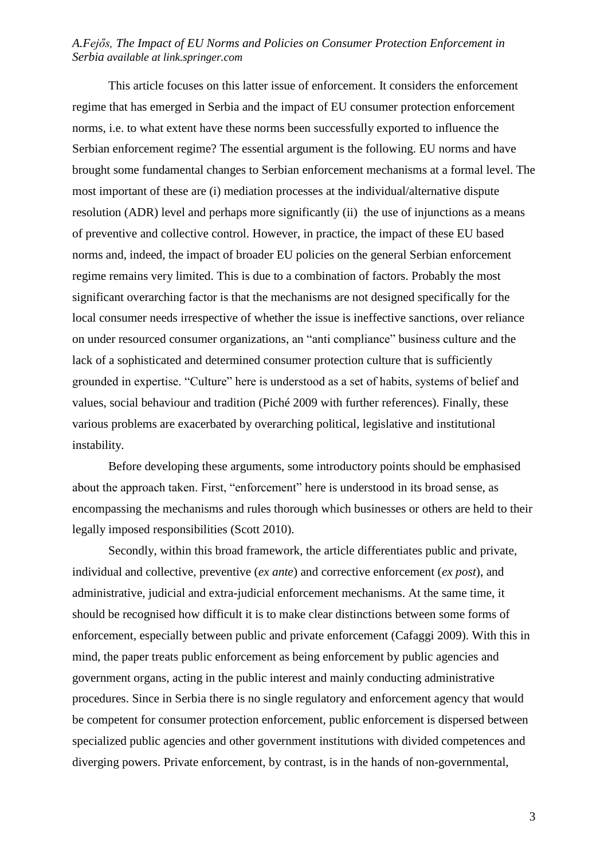This article focuses on this latter issue of enforcement. It considers the enforcement regime that has emerged in Serbia and the impact of EU consumer protection enforcement norms, i.e. to what extent have these norms been successfully exported to influence the Serbian enforcement regime? The essential argument is the following. EU norms and have brought some fundamental changes to Serbian enforcement mechanisms at a formal level. The most important of these are (i) mediation processes at the individual/alternative dispute resolution (ADR) level and perhaps more significantly (ii) the use of injunctions as a means of preventive and collective control. However, in practice, the impact of these EU based norms and, indeed, the impact of broader EU policies on the general Serbian enforcement regime remains very limited. This is due to a combination of factors. Probably the most significant overarching factor is that the mechanisms are not designed specifically for the local consumer needs irrespective of whether the issue is ineffective sanctions, over reliance on under resourced consumer organizations, an "anti compliance" business culture and the lack of a sophisticated and determined consumer protection culture that is sufficiently grounded in expertise. "Culture" here is understood as a set of habits, systems of belief and values, social behaviour and tradition (Piché 2009 with further references). Finally, these various problems are exacerbated by overarching political, legislative and institutional instability.

Before developing these arguments, some introductory points should be emphasised about the approach taken. First, "enforcement" here is understood in its broad sense, as encompassing the mechanisms and rules thorough which businesses or others are held to their legally imposed responsibilities (Scott 2010).

Secondly, within this broad framework, the article differentiates public and private, individual and collective, preventive (*ex ante*) and corrective enforcement (*ex post*), and administrative, judicial and extra-judicial enforcement mechanisms. At the same time, it should be recognised how difficult it is to make clear distinctions between some forms of enforcement, especially between public and private enforcement (Cafaggi 2009). With this in mind, the paper treats public enforcement as being enforcement by public agencies and government organs, acting in the public interest and mainly conducting administrative procedures. Since in Serbia there is no single regulatory and enforcement agency that would be competent for consumer protection enforcement, public enforcement is dispersed between specialized public agencies and other government institutions with divided competences and diverging powers. Private enforcement, by contrast, is in the hands of non-governmental,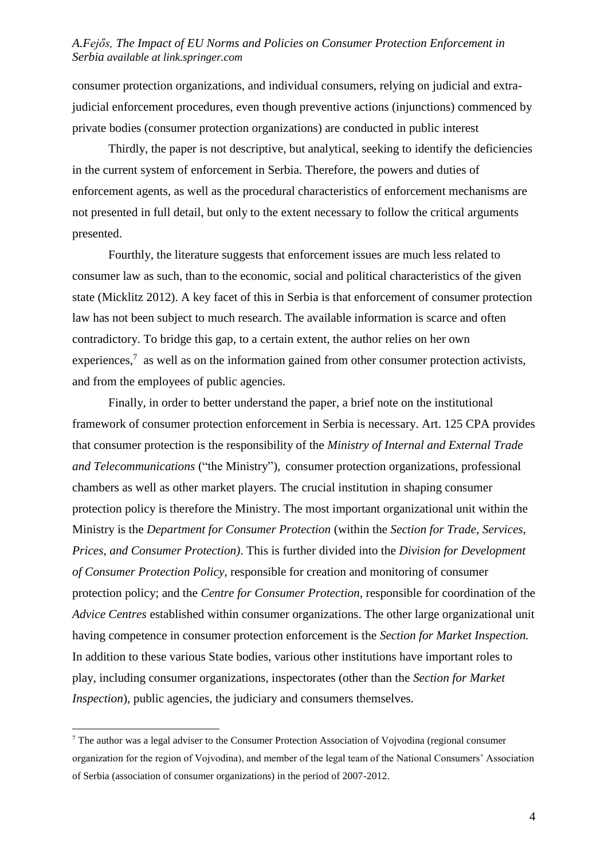consumer protection organizations, and individual consumers, relying on judicial and extrajudicial enforcement procedures, even though preventive actions (injunctions) commenced by private bodies (consumer protection organizations) are conducted in public interest

Thirdly, the paper is not descriptive, but analytical, seeking to identify the deficiencies in the current system of enforcement in Serbia. Therefore, the powers and duties of enforcement agents, as well as the procedural characteristics of enforcement mechanisms are not presented in full detail, but only to the extent necessary to follow the critical arguments presented.

Fourthly, the literature suggests that enforcement issues are much less related to consumer law as such, than to the economic, social and political characteristics of the given state (Micklitz 2012). A key facet of this in Serbia is that enforcement of consumer protection law has not been subject to much research. The available information is scarce and often contradictory. To bridge this gap, to a certain extent, the author relies on her own experiences, $\frac{7}{1}$  as well as on the information gained from other consumer protection activists, and from the employees of public agencies.

Finally, in order to better understand the paper, a brief note on the institutional framework of consumer protection enforcement in Serbia is necessary. Art. 125 CPA provides that consumer protection is the responsibility of the *Ministry of Internal and External Trade and Telecommunications* ("the Ministry"), consumer protection organizations, professional chambers as well as other market players. The crucial institution in shaping consumer protection policy is therefore the Ministry. The most important organizational unit within the Ministry is the *Department for Consumer Protection* (within the *Section for Trade, Services, Prices, and Consumer Protection)*. This is further divided into the *Division for Development of Consumer Protection Policy,* responsible for creation and monitoring of consumer protection policy; and the *Centre for Consumer Protection,* responsible for coordination of the *Advice Centres* established within consumer organizations. The other large organizational unit having competence in consumer protection enforcement is the *Section for Market Inspection.* In addition to these various State bodies, various other institutions have important roles to play, including consumer organizations, inspectorates (other than the *Section for Market Inspection*), public agencies, the judiciary and consumers themselves.

<sup>7</sup> The author was a legal adviser to the Consumer Protection Association of Vojvodina (regional consumer organization for the region of Vojvodina), and member of the legal team of the National Consumers' Association of Serbia (association of consumer organizations) in the period of 2007-2012.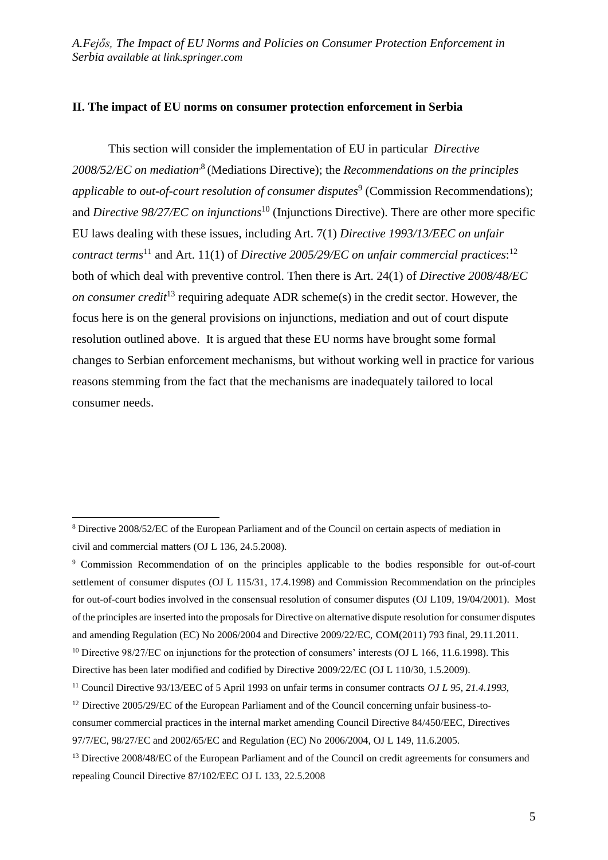#### **II. The impact of EU norms on consumer protection enforcement in Serbia**

This section will consider the implementation of EU in particular *Directive*  2008/52/EC on mediation<sup>8</sup> (Mediations Directive); the *Recommendations on the principles* applicable to out-of-court resolution of consumer disputes<sup>9</sup> (Commission Recommendations); and *Directive 98/27/EC on injunctions*<sup>10</sup> (Injunctions Directive). There are other more specific EU laws dealing with these issues, including Art. 7(1) *Directive 1993/13/EEC on unfair contract terms*<sup>11</sup> and Art. 11(1) of *Directive 2005/29/EC on unfair commercial practices*: 12 both of which deal with preventive control. Then there is Art. 24(1) of *Directive 2008/48/EC on consumer credit*<sup>13</sup> requiring adequate ADR scheme(s) in the credit sector. However, the focus here is on the general provisions on injunctions, mediation and out of court dispute resolution outlined above. It is argued that these EU norms have brought some formal changes to Serbian enforcement mechanisms, but without working well in practice for various reasons stemming from the fact that the mechanisms are inadequately tailored to local consumer needs.

<sup>8</sup> Directive 2008/52/EC of the European Parliament and of the Council on certain aspects of mediation in civil and commercial matters (OJ L 136, 24.5.2008).

<sup>9</sup> Commission Recommendation of on the principles applicable to the bodies responsible for out-of-court settlement of consumer disputes (OJ L 115/31, 17.4.1998) and Commission Recommendation on the principles for out-of-court bodies involved in the consensual resolution of consumer disputes (OJ L109, 19/04/2001). Most of the principles are inserted into the proposals for Directive on alternative dispute resolution for consumer disputes and amending Regulation (EC) No 2006/2004 and Directive 2009/22/EC, COM(2011) 793 final, 29.11.2011.

<sup>&</sup>lt;sup>10</sup> Directive 98/27/EC on injunctions for the protection of consumers' interests (OJ L 166, 11.6.1998). This

Directive has been later modified and codified by Directive 2009/22/EC (OJ L 110/30, 1.5.2009).

<sup>11</sup> Council Directive 93/13/EEC of 5 April 1993 on unfair terms in consumer contracts *OJ L 95, 21.4.1993,*

<sup>&</sup>lt;sup>12</sup> Directive 2005/29/EC of the European Parliament and of the Council concerning unfair business-to-

consumer commercial practices in the internal market amending Council Directive 84/450/EEC, Directives 97/7/EC, 98/27/EC and 2002/65/EC and Regulation (EC) No 2006/2004, OJ L 149, 11.6.2005.

<sup>&</sup>lt;sup>13</sup> Directive 2008/48/EC of the European Parliament and of the Council on credit agreements for consumers and repealing Council Directive 87/102/EEC OJ L 133, 22.5.2008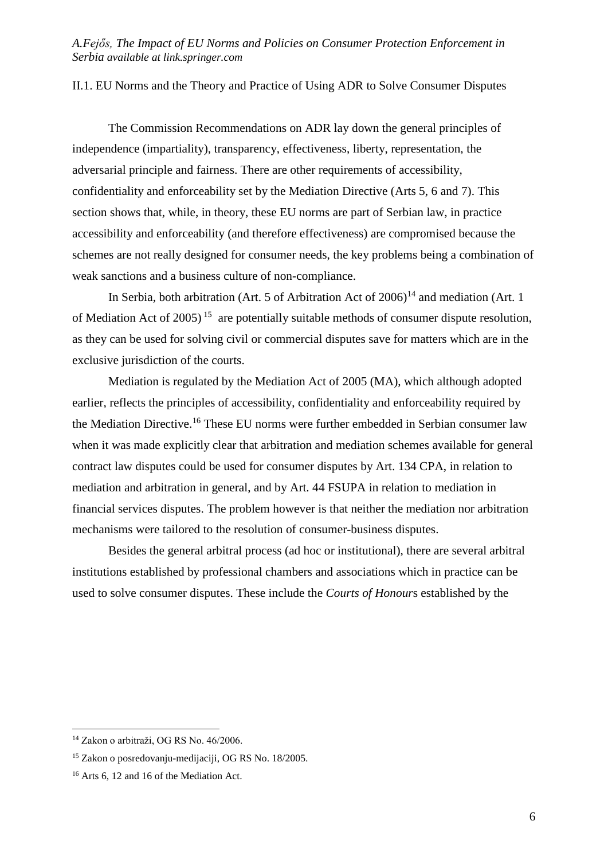II.1. EU Norms and the Theory and Practice of Using ADR to Solve Consumer Disputes

The Commission Recommendations on ADR lay down the general principles of independence (impartiality), transparency, effectiveness, liberty, representation, the adversarial principle and fairness. There are other requirements of accessibility, confidentiality and enforceability set by the Mediation Directive (Arts 5, 6 and 7). This section shows that, while, in theory, these EU norms are part of Serbian law, in practice accessibility and enforceability (and therefore effectiveness) are compromised because the schemes are not really designed for consumer needs, the key problems being a combination of weak sanctions and a business culture of non-compliance.

In Serbia, both arbitration (Art. 5 of Arbitration Act of  $2006$ )<sup>14</sup> and mediation (Art. 1) of Mediation Act of 2005)<sup>15</sup> are potentially suitable methods of consumer dispute resolution, as they can be used for solving civil or commercial disputes save for matters which are in the exclusive jurisdiction of the courts.

Mediation is regulated by the Mediation Act of 2005 (MA), which although adopted earlier, reflects the principles of accessibility, confidentiality and enforceability required by the Mediation Directive.<sup>16</sup> These EU norms were further embedded in Serbian consumer law when it was made explicitly clear that arbitration and mediation schemes available for general contract law disputes could be used for consumer disputes by Art. 134 CPA, in relation to mediation and arbitration in general, and by Art. 44 FSUPA in relation to mediation in financial services disputes. The problem however is that neither the mediation nor arbitration mechanisms were tailored to the resolution of consumer-business disputes.

Besides the general arbitral process (ad hoc or institutional), there are several arbitral institutions established by professional chambers and associations which in practice can be used to solve consumer disputes. These include the *Courts of Honour*s established by the

<sup>14</sup> Zakon o arbitraži, OG RS No. 46/2006.

<sup>15</sup> Zakon o posredovanju-medijaciji, OG RS No. 18/2005.

<sup>16</sup> Arts 6, 12 and 16 of the Mediation Act.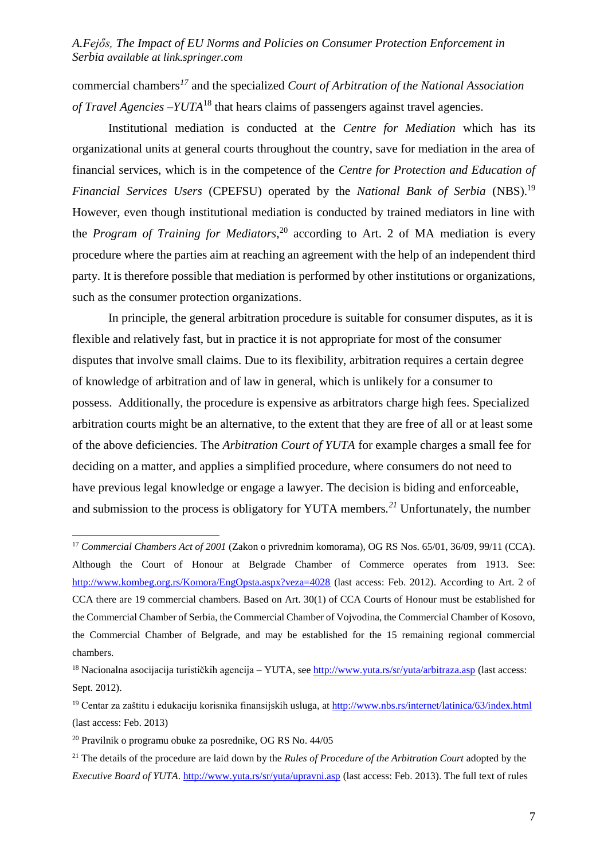commercial chambers*<sup>17</sup>* and the specialized *Court of Arbitration of the National Association of Travel Agencies –YUTA*<sup>18</sup> that hears claims of passengers against travel agencies.

Institutional mediation is conducted at the *Centre for Mediation* which has its organizational units at general courts throughout the country, save for mediation in the area of financial services, which is in the competence of the *Centre for Protection and Education of Financial Services Users* (CPEFSU) operated by the *National Bank of Serbia* (NBS).<sup>19</sup> However, even though institutional mediation is conducted by trained mediators in line with the *Program of Training for Mediators*,<sup>20</sup> according to Art. 2 of MA mediation is every procedure where the parties aim at reaching an agreement with the help of an independent third party. It is therefore possible that mediation is performed by other institutions or organizations, such as the consumer protection organizations.

In principle, the general arbitration procedure is suitable for consumer disputes, as it is flexible and relatively fast, but in practice it is not appropriate for most of the consumer disputes that involve small claims. Due to its flexibility, arbitration requires a certain degree of knowledge of arbitration and of law in general, which is unlikely for a consumer to possess. Additionally, the procedure is expensive as arbitrators charge high fees. Specialized arbitration courts might be an alternative, to the extent that they are free of all or at least some of the above deficiencies. The *Arbitration Court of YUTA* for example charges a small fee for deciding on a matter, and applies a simplified procedure, where consumers do not need to have previous legal knowledge or engage a lawyer. The decision is biding and enforceable, and submission to the process is obligatory for YUTA members*. <sup>21</sup>* Unfortunately, the number

<sup>17</sup> *Commercial Chambers Act of 2001* (Zakon o privrednim komorama), OG RS Nos. 65/01, 36/09, 99/11 (CCA). Although the Court of Honour at Belgrade Chamber of Commerce operates from 1913. See: <http://www.kombeg.org.rs/Komora/EngOpsta.aspx?veza=4028> (last access: Feb. 2012). According to Art. 2 of CCA there are 19 commercial chambers. Based on Art. 30(1) of CCA Courts of Honour must be established for the Commercial Chamber of Serbia, the Commercial Chamber of Vojvodina, the Commercial Chamber of Kosovo, the Commercial Chamber of Belgrade, and may be established for the 15 remaining regional commercial chambers.

<sup>&</sup>lt;sup>18</sup> Nacionalna asocijacija turističkih agencija – YUTA, see<http://www.yuta.rs/sr/yuta/arbitraza.asp> (last access: Sept. 2012).

<sup>&</sup>lt;sup>19</sup> Centar za zaštitu i edukaciju korisnika finansijskih usluga, at<http://www.nbs.rs/internet/latinica/63/index.html> (last access: Feb. 2013)

<sup>20</sup> Pravilnik o programu obuke za posrednike, OG RS No. 44/05

<sup>21</sup> The details of the procedure are laid down by the *Rules of Procedure of the Arbitration Court* adopted by the *Executive Board of YUTA*.<http://www.yuta.rs/sr/yuta/upravni.asp> (last access: Feb. 2013). The full text of rules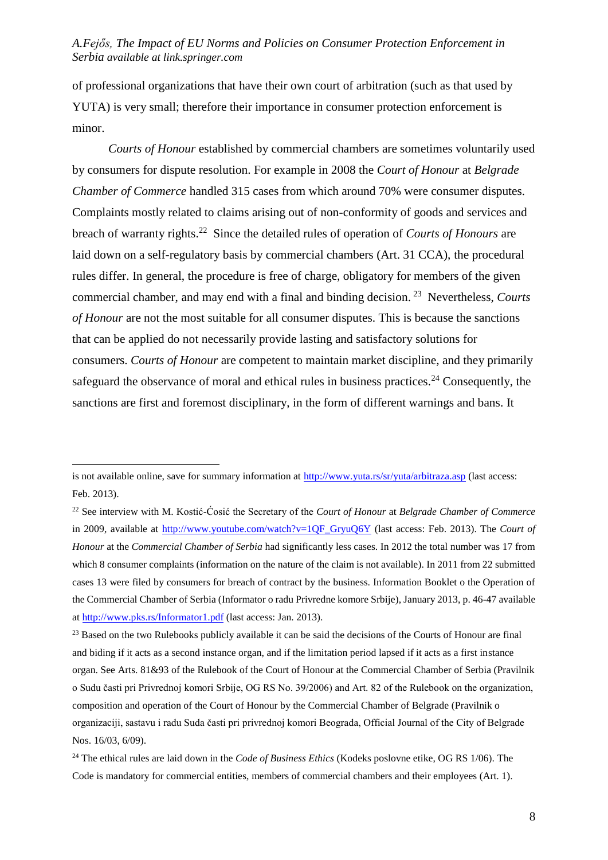of professional organizations that have their own court of arbitration (such as that used by YUTA) is very small; therefore their importance in consumer protection enforcement is minor.

*Courts of Honour* established by commercial chambers are sometimes voluntarily used by consumers for dispute resolution. For example in 2008 the *Court of Honour* at *Belgrade Chamber of Commerce* handled 315 cases from which around 70% were consumer disputes. Complaints mostly related to claims arising out of non-conformity of goods and services and breach of warranty rights.<sup>22</sup> Since the detailed rules of operation of *Courts of Honours* are laid down on a self-regulatory basis by commercial chambers (Art. 31 CCA), the procedural rules differ. In general, the procedure is free of charge, obligatory for members of the given commercial chamber, and may end with a final and binding decision. <sup>23</sup> Nevertheless, *Courts of Honour* are not the most suitable for all consumer disputes. This is because the sanctions that can be applied do not necessarily provide lasting and satisfactory solutions for consumers. *Courts of Honour* are competent to maintain market discipline, and they primarily safeguard the observance of moral and ethical rules in business practices.<sup>24</sup> Consequently, the sanctions are first and foremost disciplinary, in the form of different warnings and bans. It

is not available online, save for summary information at<http://www.yuta.rs/sr/yuta/arbitraza.asp> (last access: Feb. 2013).

<sup>22</sup> See interview with M. Kostić-Ćosić the Secretary of the *Court of Honour* at *Belgrade Chamber of Commerce* in 2009, available at [http://www.youtube.com/watch?v=1QF\\_GryuQ6Y](http://www.youtube.com/watch?v=1QF_GryuQ6Y) (last access: Feb. 2013). The *Court of Honour* at the *Commercial Chamber of Serbia* had significantly less cases. In 2012 the total number was 17 from which 8 consumer complaints (information on the nature of the claim is not available). In 2011 from 22 submitted cases 13 were filed by consumers for breach of contract by the business. Information Booklet o the Operation of the Commercial Chamber of Serbia (Informator o radu Privredne komore Srbije), January 2013, p. 46-47 available a[t http://www.pks.rs/Informator1.pdf](http://www.pks.rs/Informator1.pdf) (last access: Jan. 2013).

<sup>&</sup>lt;sup>23</sup> Based on the two Rulebooks publicly available it can be said the decisions of the Courts of Honour are final and biding if it acts as a second instance organ, and if the limitation period lapsed if it acts as a first instance organ. See Arts. 81&93 of the Rulebook of the Court of Honour at the Commercial Chamber of Serbia (Pravilnik o Sudu časti pri Privrednoj komori Srbije, OG RS No. 39/2006) and Art. 82 of the Rulebook on the organization, composition and operation of the Court of Honour by the Commercial Chamber of Belgrade (Pravilnik o organizaciji, sastavu i radu Suda časti pri privrednoj komori Beograda, Official Journal of the City of Belgrade Nos. 16/03, 6/09).

<sup>24</sup> The ethical rules are laid down in the *Code of Business Ethics* (Kodeks poslovne etike, OG RS 1/06). The Code is mandatory for commercial entities, members of commercial chambers and their employees (Art. 1).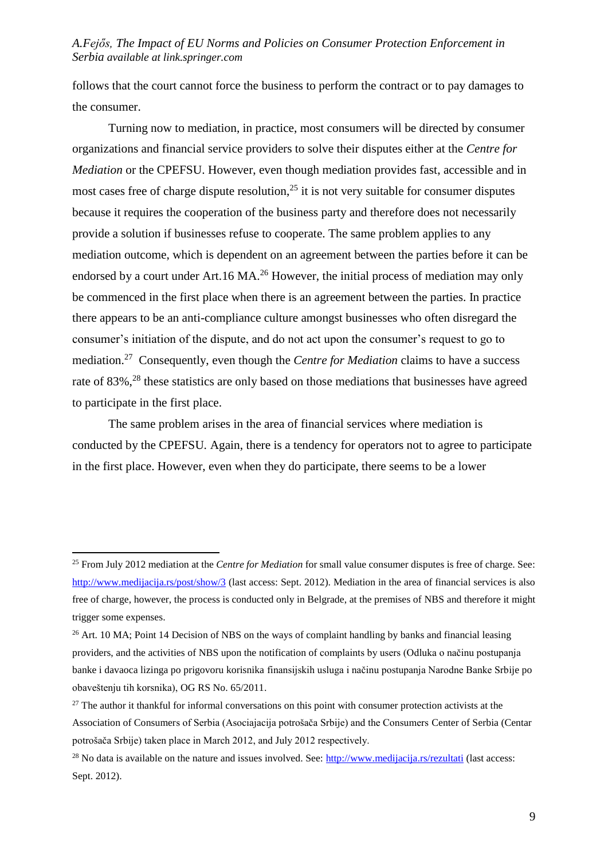follows that the court cannot force the business to perform the contract or to pay damages to the consumer.

Turning now to mediation, in practice, most consumers will be directed by consumer organizations and financial service providers to solve their disputes either at the *Centre for Mediation* or the CPEFSU. However, even though mediation provides fast, accessible and in most cases free of charge dispute resolution,  $2<sup>5</sup>$  it is not very suitable for consumer disputes because it requires the cooperation of the business party and therefore does not necessarily provide a solution if businesses refuse to cooperate. The same problem applies to any mediation outcome, which is dependent on an agreement between the parties before it can be endorsed by a court under Art.16 MA.<sup>26</sup> However, the initial process of mediation may only be commenced in the first place when there is an agreement between the parties. In practice there appears to be an anti-compliance culture amongst businesses who often disregard the consumer's initiation of the dispute, and do not act upon the consumer's request to go to mediation.<sup>27</sup> Consequently, even though the *Centre for Mediation* claims to have a success rate of 83%,<sup>28</sup> these statistics are only based on those mediations that businesses have agreed to participate in the first place.

The same problem arises in the area of financial services where mediation is conducted by the CPEFSU*.* Again, there is a tendency for operators not to agree to participate in the first place. However, even when they do participate, there seems to be a lower

<sup>25</sup> From July 2012 mediation at the *Centre for Mediation* for small value consumer disputes is free of charge. See: <http://www.medijacija.rs/post/show/3> (last access: Sept. 2012). Mediation in the area of financial services is also free of charge, however, the process is conducted only in Belgrade, at the premises of NBS and therefore it might trigger some expenses.

 $26$  Art. 10 MA; Point 14 Decision of NBS on the ways of complaint handling by banks and financial leasing providers, and the activities of NBS upon the notification of complaints by users (Odluka o načinu postupanja banke i davaoca lizinga po prigovoru korisnika finansijskih usluga i načinu postupanja Narodne Banke Srbije po obaveštenju tih korsnika), OG RS No. 65/2011.

<sup>&</sup>lt;sup>27</sup> The author it thankful for informal conversations on this point with consumer protection activists at the Association of Consumers of Serbia (Asociajacija potrošača Srbije) and the Consumers Center of Serbia (Centar potrošača Srbije) taken place in March 2012, and July 2012 respectively.

 $^{28}$  No data is available on the nature and issues involved. See: <http://www.medijacija.rs/rezultati> (last access: Sept. 2012).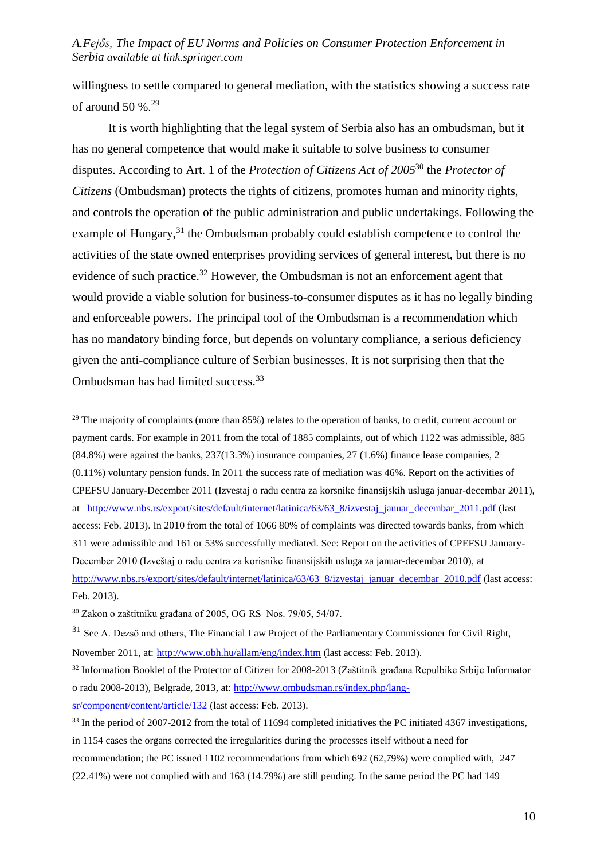willingness to settle compared to general mediation, with the statistics showing a success rate of around 50 %. $29$ 

It is worth highlighting that the legal system of Serbia also has an ombudsman, but it has no general competence that would make it suitable to solve business to consumer disputes. According to Art. 1 of the *Protection of Citizens Act of 2005*<sup>30</sup> the *Protector of Citizens* (Ombudsman) protects the rights of citizens, promotes human and minority rights, and controls the operation of the public administration and public undertakings. Following the example of Hungary,<sup>31</sup> the Ombudsman probably could establish competence to control the activities of the state owned enterprises providing services of general interest, but there is no evidence of such practice.<sup>32</sup> However, the Ombudsman is not an enforcement agent that would provide a viable solution for business-to-consumer disputes as it has no legally binding and enforceable powers. The principal tool of the Ombudsman is a recommendation which has no mandatory binding force, but depends on voluntary compliance, a serious deficiency given the anti-compliance culture of Serbian businesses. It is not surprising then that the Ombudsman has had limited success.<sup>33</sup>

<sup>29</sup> The majority of complaints (more than  $85\%$ ) relates to the operation of banks, to credit, current account or payment cards. For example in 2011 from the total of 1885 complaints, out of which 1122 was admissible, 885 (84.8%) were against the banks, 237(13.3%) insurance companies, 27 (1.6%) finance lease companies, 2 (0.11%) voluntary pension funds. In 2011 the success rate of mediation was 46%. Report on the activities of CPEFSU January-December 2011 (Izvestaj o radu centra za korsnike finansijskih usluga januar-decembar 2011), at http://www.nbs.rs/export/sites/default/internet/latinica/63/63 8/izvestaj\_januar\_decembar\_2011.pdf (last access: Feb. 2013). In 2010 from the total of 1066 80% of complaints was directed towards banks, from which 311 were admissible and 161 or 53% successfully mediated. See: Report on the activities of CPEFSU January-December 2010 (Izveštaj o radu centra za korisnike finansijskih usluga za januar-decembar 2010), at [http://www.nbs.rs/export/sites/default/internet/latinica/63/63\\_8/izvestaj\\_januar\\_decembar\\_2010.pdf](http://www.nbs.rs/export/sites/default/internet/latinica/63/63_8/izvestaj_januar_decembar_2010.pdf) (last access: Feb. 2013).

<sup>30</sup> Zakon o zaštitniku građana of 2005, OG RS Nos. 79/05, 54/07.

 $31$  See A. Dezső and others, The Financial Law Project of the Parliamentary Commissioner for Civil Right, November 2011, at: <http://www.obh.hu/allam/eng/index.htm> (last access: Feb. 2013).

<sup>32</sup> Information Booklet of the Protector of Citizen for 2008-2013 (Zaštitnik građana Repulbike Srbije Informator o radu 2008-2013), Belgrade, 2013, at: [http://www.ombudsman.rs/index.php/lang-](http://www.ombudsman.rs/index.php/lang-sr/component/content/article/132)

[sr/component/content/article/132](http://www.ombudsman.rs/index.php/lang-sr/component/content/article/132) (last access: Feb. 2013).

<sup>&</sup>lt;sup>33</sup> In the period of 2007-2012 from the total of 11694 completed initiatives the PC initiated 4367 investigations,

in 1154 cases the organs corrected the irregularities during the processes itself without a need for

recommendation; the PC issued 1102 recommendations from which 692 (62,79%) were complied with, 247

<sup>(22.41%)</sup> were not complied with and 163 (14.79%) are still pending. In the same period the PC had 149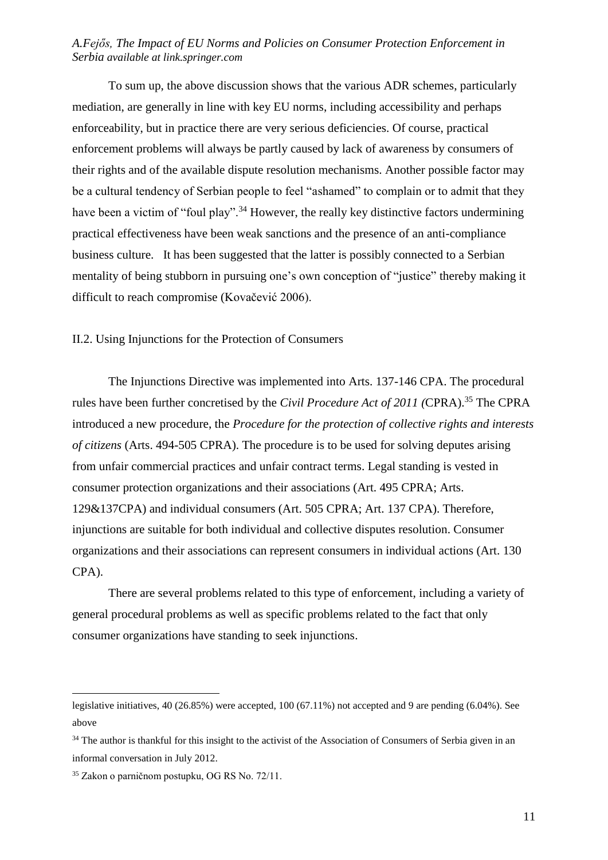To sum up, the above discussion shows that the various ADR schemes, particularly mediation, are generally in line with key EU norms, including accessibility and perhaps enforceability, but in practice there are very serious deficiencies. Of course, practical enforcement problems will always be partly caused by lack of awareness by consumers of their rights and of the available dispute resolution mechanisms. Another possible factor may be a cultural tendency of Serbian people to feel "ashamed" to complain or to admit that they have been a victim of "foul play".<sup>34</sup> However, the really key distinctive factors undermining practical effectiveness have been weak sanctions and the presence of an anti-compliance business culture. It has been suggested that the latter is possibly connected to a Serbian mentality of being stubborn in pursuing one's own conception of "justice" thereby making it difficult to reach compromise (Kovačević 2006).

II.2. Using Injunctions for the Protection of Consumers

The Injunctions Directive was implemented into Arts. 137-146 CPA. The procedural rules have been further concretised by the *Civil Procedure Act of 2011 (*CPRA).<sup>35</sup> The CPRA introduced a new procedure, the *Procedure for the protection of collective rights and interests of citizens* (Arts. 494-505 CPRA). The procedure is to be used for solving deputes arising from unfair commercial practices and unfair contract terms. Legal standing is vested in consumer protection organizations and their associations (Art. 495 CPRA; Arts. 129&137CPA) and individual consumers (Art. 505 CPRA; Art. 137 CPA). Therefore, injunctions are suitable for both individual and collective disputes resolution. Consumer organizations and their associations can represent consumers in individual actions (Art. 130 CPA).

There are several problems related to this type of enforcement, including a variety of general procedural problems as well as specific problems related to the fact that only consumer organizations have standing to seek injunctions.

legislative initiatives, 40 (26.85%) were accepted, 100 (67.11%) not accepted and 9 are pending (6.04%). See above

<sup>&</sup>lt;sup>34</sup> The author is thankful for this insight to the activist of the Association of Consumers of Serbia given in an informal conversation in July 2012.

<sup>35</sup> Zakon o parničnom postupku, OG RS No. 72/11.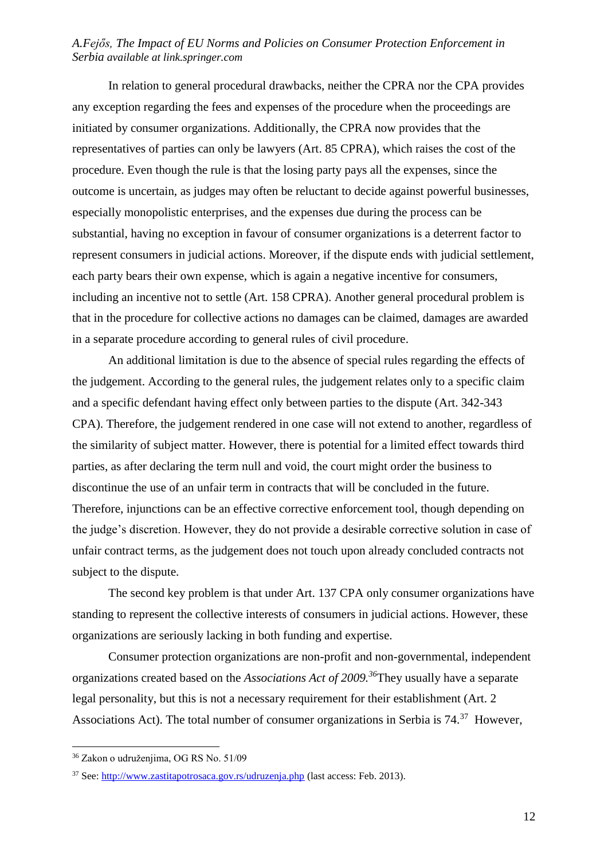In relation to general procedural drawbacks, neither the CPRA nor the CPA provides any exception regarding the fees and expenses of the procedure when the proceedings are initiated by consumer organizations. Additionally, the CPRA now provides that the representatives of parties can only be lawyers (Art. 85 CPRA), which raises the cost of the procedure. Even though the rule is that the losing party pays all the expenses, since the outcome is uncertain, as judges may often be reluctant to decide against powerful businesses, especially monopolistic enterprises, and the expenses due during the process can be substantial, having no exception in favour of consumer organizations is a deterrent factor to represent consumers in judicial actions. Moreover, if the dispute ends with judicial settlement, each party bears their own expense, which is again a negative incentive for consumers, including an incentive not to settle (Art. 158 CPRA). Another general procedural problem is that in the procedure for collective actions no damages can be claimed, damages are awarded in a separate procedure according to general rules of civil procedure.

An additional limitation is due to the absence of special rules regarding the effects of the judgement. According to the general rules, the judgement relates only to a specific claim and a specific defendant having effect only between parties to the dispute (Art. 342-343 CPA). Therefore, the judgement rendered in one case will not extend to another, regardless of the similarity of subject matter. However, there is potential for a limited effect towards third parties, as after declaring the term null and void, the court might order the business to discontinue the use of an unfair term in contracts that will be concluded in the future. Therefore, injunctions can be an effective corrective enforcement tool, though depending on the judge's discretion. However, they do not provide a desirable corrective solution in case of unfair contract terms, as the judgement does not touch upon already concluded contracts not subject to the dispute.

The second key problem is that under Art. 137 CPA only consumer organizations have standing to represent the collective interests of consumers in judicial actions. However, these organizations are seriously lacking in both funding and expertise.

Consumer protection organizations are non-profit and non-governmental, independent organizations created based on the *Associations Act of 2009.<sup>36</sup>*They usually have a separate legal personality, but this is not a necessary requirement for their establishment (Art. 2 Associations Act). The total number of consumer organizations in Serbia is 74.<sup>37</sup> However,

<sup>36</sup> Zakon o udruženjima, OG RS No. 51/09

<sup>37</sup> See:<http://www.zastitapotrosaca.gov.rs/udruzenja.php> (last access: Feb. 2013).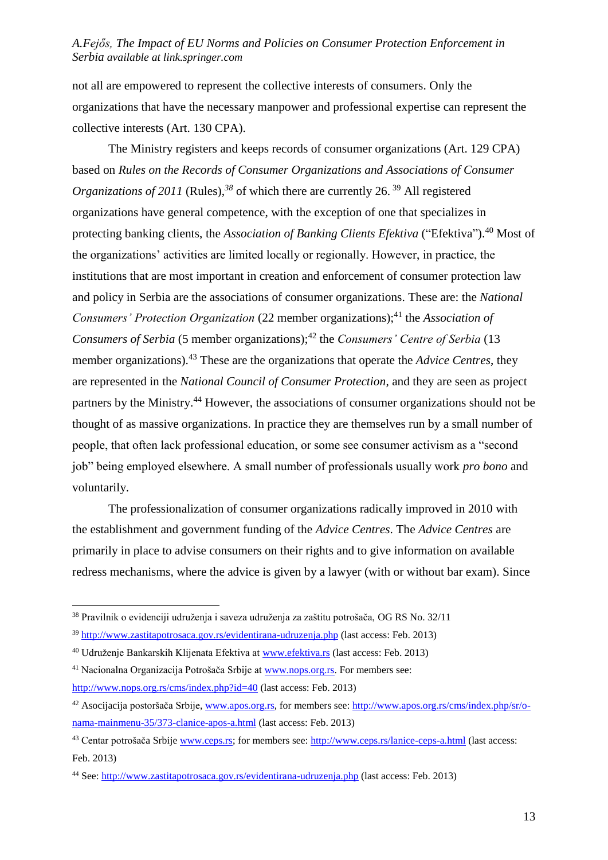not all are empowered to represent the collective interests of consumers. Only the organizations that have the necessary manpower and professional expertise can represent the collective interests (Art. 130 CPA).

The Ministry registers and keeps records of consumer organizations (Art. 129 CPA) based on *Rules on the Records of Consumer Organizations and Associations of Consumer Organizations of 2011* (Rules),<sup>38</sup> of which there are currently 26.<sup>39</sup> All registered organizations have general competence, with the exception of one that specializes in protecting banking clients, the *Association of Banking Clients Efektiva* ("Efektiva").<sup>40</sup> Most of the organizations' activities are limited locally or regionally. However, in practice, the institutions that are most important in creation and enforcement of consumer protection law and policy in Serbia are the associations of consumer organizations. These are: the *National Consumers' Protection Organization* (22 member organizations);<sup>41</sup> the *Association of Consumers of Serbia* (5 member organizations);<sup>42</sup> the *Consumers' Centre of Serbia* (13 member organizations).<sup>43</sup> These are the organizations that operate the *Advice Centres*, they are represented in the *National Council of Consumer Protection*, and they are seen as project partners by the Ministry.<sup>44</sup> However, the associations of consumer organizations should not be thought of as massive organizations. In practice they are themselves run by a small number of people, that often lack professional education, or some see consumer activism as a "second job" being employed elsewhere. A small number of professionals usually work *pro bono* and voluntarily.

The professionalization of consumer organizations radically improved in 2010 with the establishment and government funding of the *Advice Centres*. The *Advice Centres* are primarily in place to advise consumers on their rights and to give information on available redress mechanisms, where the advice is given by a lawyer (with or without bar exam). Since

<sup>38</sup> Pravilnik o evidenciji udruženja i saveza udruženja za zaštitu potrošača, OG RS No. 32/11

<sup>39</sup> <http://www.zastitapotrosaca.gov.rs/evidentirana-udruzenja.php> (last access: Feb. 2013)

<sup>40</sup> Udruženje Bankarskih Klijenata Efektiva at [www.efektiva.rs](http://www.efektiva.rs/) (last access: Feb. 2013)

<sup>41</sup> Nacionalna Organizacija Potrošača Srbije at [www.nops.org.rs.](http://www.nops.org.rs/) For members see: <http://www.nops.org.rs/cms/index.php?id=40> (last access: Feb. 2013)

<sup>&</sup>lt;sup>42</sup> Asocijacija postoršača Srbije, [www.apos.org.rs,](http://www.apos.org.rs/) for members see: [http://www.apos.org.rs/cms/index.php/sr/o](http://www.apos.org.rs/cms/index.php/sr/o-nama-mainmenu-35/373-clanice-apos-a.html)[nama-mainmenu-35/373-clanice-apos-a.html](http://www.apos.org.rs/cms/index.php/sr/o-nama-mainmenu-35/373-clanice-apos-a.html) (last access: Feb. 2013)

<sup>43</sup> Centar potrošača Srbije [www.ceps.rs;](http://www.ceps.rs/) for members see:<http://www.ceps.rs/lanice-ceps-a.html> (last access: Feb. 2013)

<sup>44</sup> See:<http://www.zastitapotrosaca.gov.rs/evidentirana-udruzenja.php> (last access: Feb. 2013)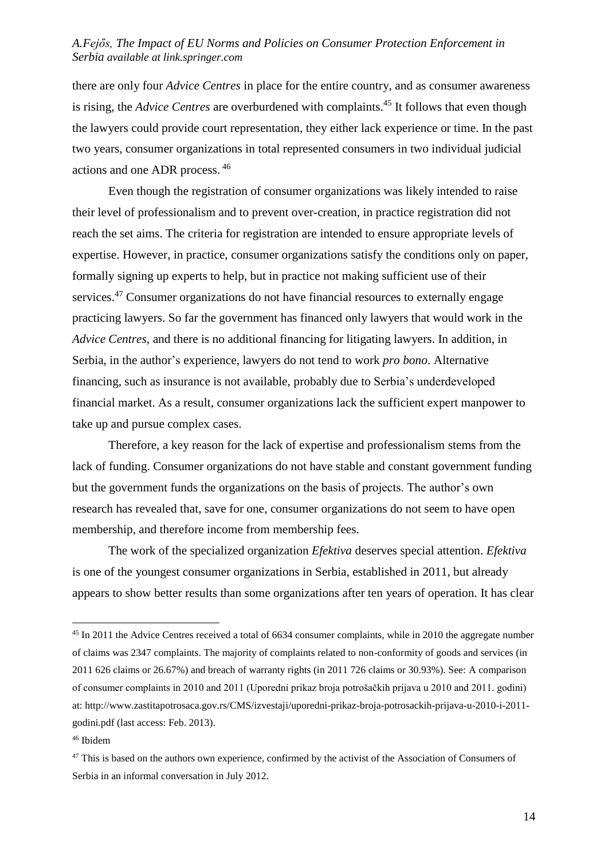there are only four *Advice Centres* in place for the entire country, and as consumer awareness is rising, the *Advice Centres* are overburdened with complaints.<sup>45</sup> It follows that even though the lawyers could provide court representation, they either lack experience or time. In the past two years, consumer organizations in total represented consumers in two individual judicial actions and one ADR process. 46

Even though the registration of consumer organizations was likely intended to raise their level of professionalism and to prevent over-creation, in practice registration did not reach the set aims. The criteria for registration are intended to ensure appropriate levels of expertise. However, in practice, consumer organizations satisfy the conditions only on paper, formally signing up experts to help, but in practice not making sufficient use of their services.<sup>47</sup> Consumer organizations do not have financial resources to externally engage practicing lawyers. So far the government has financed only lawyers that would work in the *Advice Centres*, and there is no additional financing for litigating lawyers. In addition, in Serbia, in the author's experience, lawyers do not tend to work *pro bono*. Alternative financing, such as insurance is not available, probably due to Serbia's underdeveloped financial market. As a result, consumer organizations lack the sufficient expert manpower to take up and pursue complex cases.

Therefore, a key reason for the lack of expertise and professionalism stems from the lack of funding. Consumer organizations do not have stable and constant government funding but the government funds the organizations on the basis of projects. The author's own research has revealed that, save for one, consumer organizations do not seem to have open membership, and therefore income from membership fees.

The work of the specialized organization *Efektiva* deserves special attention. *Efektiva*  is one of the youngest consumer organizations in Serbia, established in 2011, but already appears to show better results than some organizations after ten years of operation. It has clear

<sup>45</sup> In 2011 the Advice Centres received a total of 6634 consumer complaints, while in 2010 the aggregate number of claims was 2347 complaints. The majority of complaints related to non-conformity of goods and services (in 2011 626 claims or 26.67%) and breach of warranty rights (in 2011 726 claims or 30.93%). See: A comparison of consumer complaints in 2010 and 2011 (Uporedni prikaz broja potrošačkih prijava u 2010 and 2011. godini) at: http://www.zastitapotrosaca.gov.rs/CMS/izvestaji/uporedni-prikaz-broja-potrosackih-prijava-u-2010-i-2011 godini.pdf (last access: Feb. 2013).

<sup>46</sup> Ibidem

<sup>&</sup>lt;sup>47</sup> This is based on the authors own experience, confirmed by the activist of the Association of Consumers of Serbia in an informal conversation in July 2012.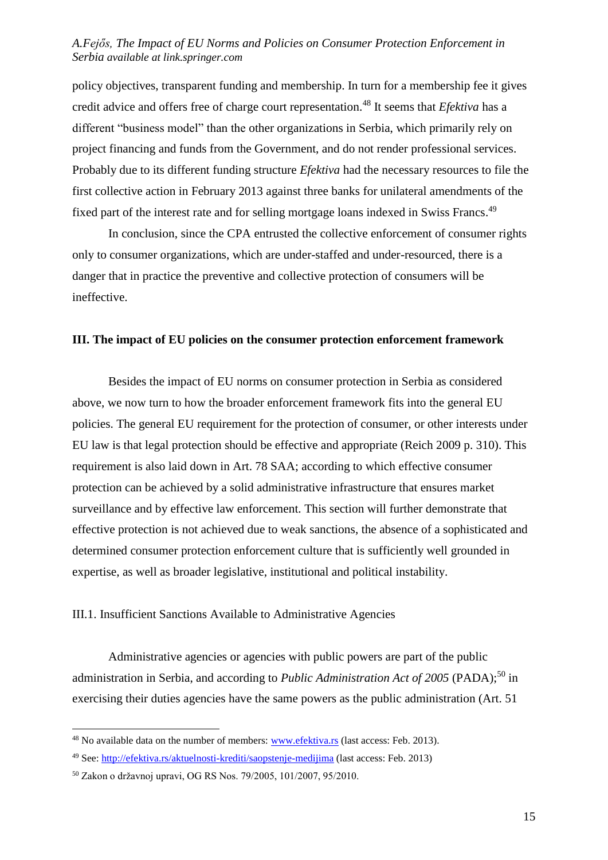policy objectives, transparent funding and membership. In turn for a membership fee it gives credit advice and offers free of charge court representation.<sup>48</sup> It seems that *Efektiva* has a different "business model" than the other organizations in Serbia, which primarily rely on project financing and funds from the Government, and do not render professional services. Probably due to its different funding structure *Efektiva* had the necessary resources to file the first collective action in February 2013 against three banks for unilateral amendments of the fixed part of the interest rate and for selling mortgage loans indexed in Swiss Francs.<sup>49</sup>

In conclusion, since the CPA entrusted the collective enforcement of consumer rights only to consumer organizations, which are under-staffed and under-resourced, there is a danger that in practice the preventive and collective protection of consumers will be ineffective.

#### **III. The impact of EU policies on the consumer protection enforcement framework**

Besides the impact of EU norms on consumer protection in Serbia as considered above, we now turn to how the broader enforcement framework fits into the general EU policies. The general EU requirement for the protection of consumer, or other interests under EU law is that legal protection should be effective and appropriate (Reich 2009 p. 310). This requirement is also laid down in Art. 78 SAA; according to which effective consumer protection can be achieved by a solid administrative infrastructure that ensures market surveillance and by effective law enforcement. This section will further demonstrate that effective protection is not achieved due to weak sanctions, the absence of a sophisticated and determined consumer protection enforcement culture that is sufficiently well grounded in expertise, as well as broader legislative, institutional and political instability.

### III.1. Insufficient Sanctions Available to Administrative Agencies

Administrative agencies or agencies with public powers are part of the public administration in Serbia, and according to *Public Administration Act of 2005* (PADA);<sup>50</sup> in exercising their duties agencies have the same powers as the public administration (Art. 51

<sup>&</sup>lt;sup>48</sup> No available data on the number of members: [www.efektiva.rs](http://www.efektiva.rs/) (last access: Feb. 2013).

<sup>49</sup> See:<http://efektiva.rs/aktuelnosti-krediti/saopstenje-medijima> (last access: Feb. 2013)

<sup>50</sup> Zakon o državnoj upravi, OG RS Nos. 79/2005, 101/2007, 95/2010.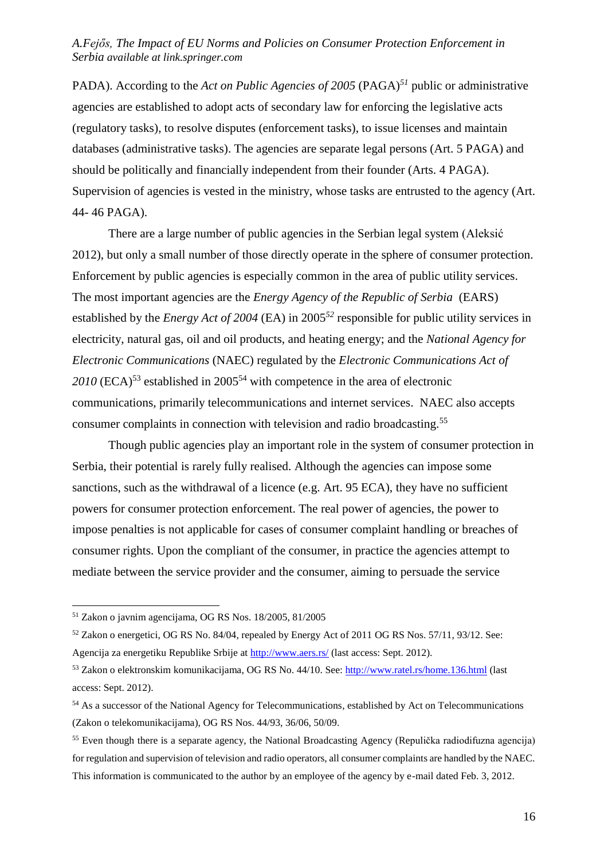PADA). According to the *Act on Public Agencies of 2005* (PAGA)*<sup>51</sup>* public or administrative agencies are established to adopt acts of secondary law for enforcing the legislative acts (regulatory tasks), to resolve disputes (enforcement tasks), to issue licenses and maintain databases (administrative tasks). The agencies are separate legal persons (Art. 5 PAGA) and should be politically and financially independent from their founder (Arts. 4 PAGA). Supervision of agencies is vested in the ministry, whose tasks are entrusted to the agency (Art. 44- 46 PAGA).

There are a large number of public agencies in the Serbian legal system (Aleksić 2012), but only a small number of those directly operate in the sphere of consumer protection. Enforcement by public agencies is especially common in the area of public utility services. The most important agencies are the *Energy Agency of the Republic of Serbia* (EARS) established by the *Energy Act of 2004* (EA) in 2005*<sup>52</sup>* responsible for public utility services in electricity, natural gas, oil and oil products, and heating energy; and the *National Agency for Electronic Communications* (NAEC) regulated by the *Electronic Communications Act of*  2010 (ECA)<sup>53</sup> established in 2005<sup>54</sup> with competence in the area of electronic communications, primarily telecommunications and internet services. NAEC also accepts consumer complaints in connection with television and radio broadcasting.<sup>55</sup>

Though public agencies play an important role in the system of consumer protection in Serbia, their potential is rarely fully realised. Although the agencies can impose some sanctions, such as the withdrawal of a licence (e.g. Art. 95 ECA), they have no sufficient powers for consumer protection enforcement. The real power of agencies, the power to impose penalties is not applicable for cases of consumer complaint handling or breaches of consumer rights. Upon the compliant of the consumer, in practice the agencies attempt to mediate between the service provider and the consumer, aiming to persuade the service

<sup>51</sup> Zakon o javnim agencijama, OG RS Nos. 18/2005, 81/2005

<sup>52</sup> Zakon o energetici, OG RS No. 84/04, repealed by Energy Act of 2011 OG RS Nos. 57/11, 93/12. See: Agencija za energetiku Republike Srbije at<http://www.aers.rs/> (last access: Sept. 2012).

<sup>53</sup> Zakon o elektronskim komunikacijama, OG RS No. 44/10. See:<http://www.ratel.rs/home.136.html> (last access: Sept. 2012).

<sup>54</sup> As a successor of the National Agency for Telecommunications, established by Act on Telecommunications (Zakon o telekomunikacijama), OG RS Nos. 44/93, 36/06, 50/09.

<sup>55</sup> Even though there is a separate agency, the National Broadcasting Agency (Repulička radiodifuzna agencija) for regulation and supervision of television and radio operators, all consumer complaints are handled by the NAEC. This information is communicated to the author by an employee of the agency by e-mail dated Feb. 3, 2012.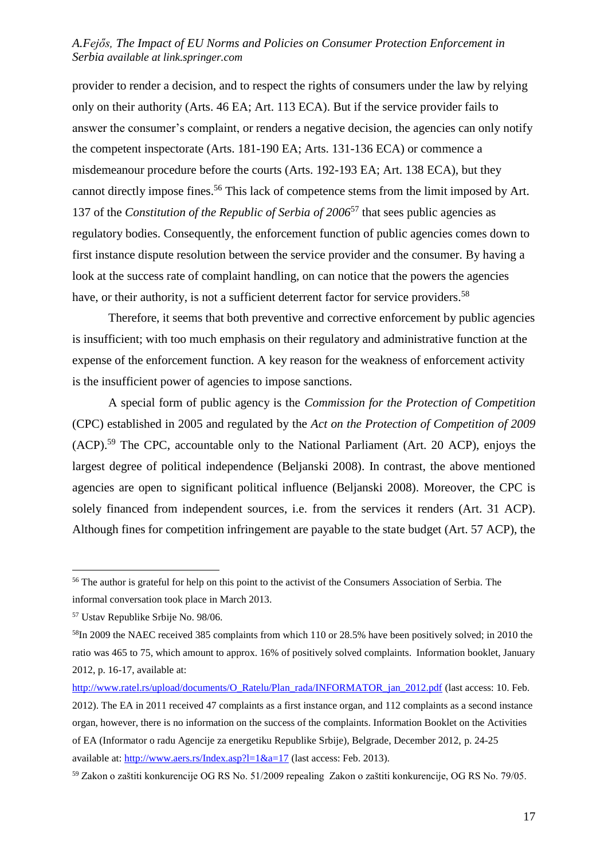provider to render a decision, and to respect the rights of consumers under the law by relying only on their authority (Arts. 46 EA; Art. 113 ECA). But if the service provider fails to answer the consumer's complaint, or renders a negative decision, the agencies can only notify the competent inspectorate (Arts. 181-190 EA; Arts. 131-136 ECA) or commence a misdemeanour procedure before the courts (Arts. 192-193 EA; Art. 138 ECA), but they cannot directly impose fines. <sup>56</sup> This lack of competence stems from the limit imposed by Art. 137 of the *Constitution of the Republic of Serbia of 2006*<sup>57</sup> that sees public agencies as regulatory bodies. Consequently, the enforcement function of public agencies comes down to first instance dispute resolution between the service provider and the consumer. By having a look at the success rate of complaint handling, on can notice that the powers the agencies have, or their authority, is not a sufficient deterrent factor for service providers.<sup>58</sup>

Therefore, it seems that both preventive and corrective enforcement by public agencies is insufficient; with too much emphasis on their regulatory and administrative function at the expense of the enforcement function. A key reason for the weakness of enforcement activity is the insufficient power of agencies to impose sanctions.

A special form of public agency is the *Commission for the Protection of Competition*  (CPC) established in 2005 and regulated by the *Act on the Protection of Competition of 2009* (ACP).<sup>59</sup> The CPC, accountable only to the National Parliament (Art. 20 ACP), enjoys the largest degree of political independence (Beljanski 2008). In contrast, the above mentioned agencies are open to significant political influence (Beljanski 2008). Moreover, the CPC is solely financed from independent sources, i.e. from the services it renders (Art. 31 ACP). Although fines for competition infringement are payable to the state budget (Art. 57 ACP), the

<sup>&</sup>lt;sup>56</sup> The author is grateful for help on this point to the activist of the Consumers Association of Serbia. The informal conversation took place in March 2013.

<sup>57</sup> Ustav Republike Srbije No. 98/06.

<sup>58</sup>In 2009 the NAEC received 385 complaints from which 110 or 28.5% have been positively solved; in 2010 the ratio was 465 to 75, which amount to approx. 16% of positively solved complaints. Information booklet, January 2012, p. 16-17, available at:

[http://www.ratel.rs/upload/documents/O\\_Ratelu/Plan\\_rada/INFORMATOR\\_jan\\_2012.pdf](http://www.ratel.rs/upload/documents/O_Ratelu/Plan_rada/INFORMATOR_jan_2012.pdf) (last access: 10. Feb. 2012). The EA in 2011 received 47 complaints as a first instance organ, and 112 complaints as a second instance organ, however, there is no information on the success of the complaints. Information Booklet on the Activities of EA (Informator o radu Agencije za energetiku Republike Srbije), Belgrade, December 2012, p. 24-25 available at: http://www.aers.rs/Index.asp?l= $1\&a=17$  (last access: Feb. 2013).

<sup>59</sup> Zakon o zaštiti konkurencije OG RS No. 51/2009 repealing Zakon o zaštiti konkurencije, OG RS No. 79/05.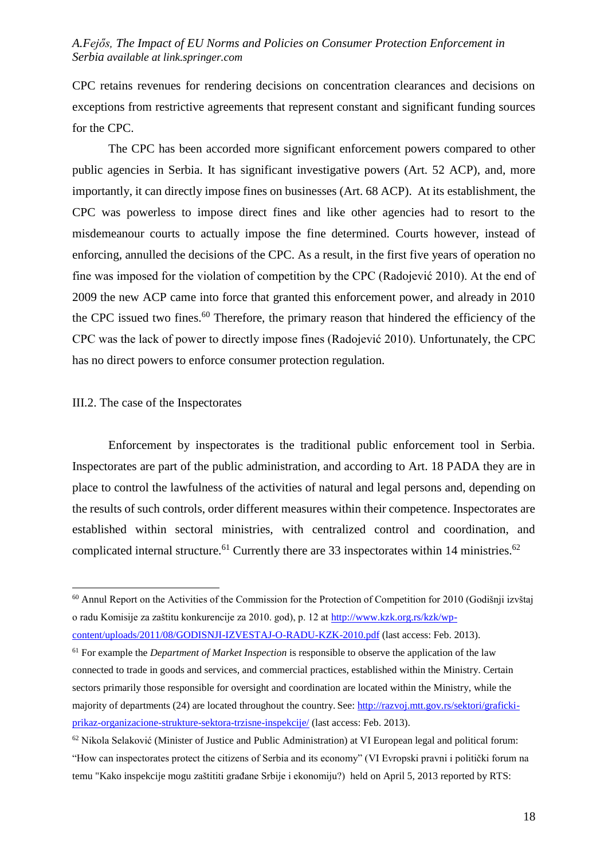CPC retains revenues for rendering decisions on concentration clearances and decisions on exceptions from restrictive agreements that represent constant and significant funding sources for the CPC.

The CPC has been accorded more significant enforcement powers compared to other public agencies in Serbia. It has significant investigative powers (Art. 52 ACP), and, more importantly, it can directly impose fines on businesses (Art. 68 ACP). At its establishment, the CPC was powerless to impose direct fines and like other agencies had to resort to the misdemeanour courts to actually impose the fine determined. Courts however, instead of enforcing, annulled the decisions of the CPC. As a result, in the first five years of operation no fine was imposed for the violation of competition by the CPC (Radojević 2010). At the end of 2009 the new ACP came into force that granted this enforcement power, and already in 2010 the CPC issued two fines.<sup>60</sup> Therefore, the primary reason that hindered the efficiency of the CPC was the lack of power to directly impose fines (Radojević 2010). Unfortunately, the CPC has no direct powers to enforce consumer protection regulation.

#### III.2. The case of the Inspectorates

<u>.</u>

Enforcement by inspectorates is the traditional public enforcement tool in Serbia. Inspectorates are part of the public administration, and according to Art. 18 PADA they are in place to control the lawfulness of the activities of natural and legal persons and, depending on the results of such controls, order different measures within their competence. Inspectorates are established within sectoral ministries, with centralized control and coordination, and complicated internal structure.<sup>61</sup> Currently there are 33 inspectorates within 14 ministries.<sup>62</sup>

<sup>&</sup>lt;sup>60</sup> Annul Report on the Activities of the Commission for the Protection of Competition for 2010 (Godišnji izvštaj o radu Komisije za zaštitu konkurencije za 2010. god), p. 12 at [http://www.kzk.org.rs/kzk/wp](http://www.kzk.org.rs/kzk/wp-content/uploads/2011/08/GODISNJI-IZVESTAJ-O-RADU-KZK-2010.pdf)[content/uploads/2011/08/GODISNJI-IZVESTAJ-O-RADU-KZK-2010.pdf](http://www.kzk.org.rs/kzk/wp-content/uploads/2011/08/GODISNJI-IZVESTAJ-O-RADU-KZK-2010.pdf) (last access: Feb. 2013).

<sup>61</sup> For example the *Department of Market Inspection* is responsible to observe the application of the law connected to trade in goods and services, and commercial practices, established within the Ministry. Certain sectors primarily those responsible for oversight and coordination are located within the Ministry, while the majority of departments (24) are located throughout the country. See: [http://razvoj.mtt.gov.rs/sektori/graficki](http://razvoj.mtt.gov.rs/sektori/graficki-prikaz-organizacione-strukture-sektora-trzisne-inspekcije/)[prikaz-organizacione-strukture-sektora-trzisne-inspekcije/](http://razvoj.mtt.gov.rs/sektori/graficki-prikaz-organizacione-strukture-sektora-trzisne-inspekcije/) (last access: Feb. 2013).

<sup>62</sup> Nikola Selaković (Minister of Justice and Public Administration) at VI European legal and political forum: "How can inspectorates protect the citizens of Serbia and its economy" (VI Evropski pravni i politički forum na temu "Kako inspekcije mogu zaštititi građane Srbije i ekonomiju?) held on April 5, 2013 reported by RTS: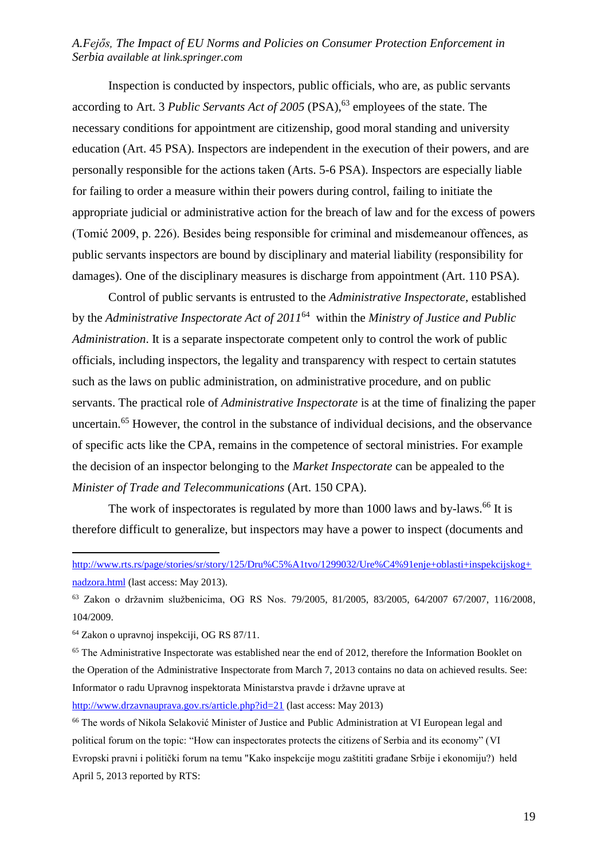Inspection is conducted by inspectors, public officials, who are, as public servants according to Art. 3 *Public Servants Act of 2005* (PSA),<sup>63</sup> employees of the state. The necessary conditions for appointment are citizenship, good moral standing and university education (Art. 45 PSA). Inspectors are independent in the execution of their powers, and are personally responsible for the actions taken (Arts. 5-6 PSA). Inspectors are especially liable for failing to order a measure within their powers during control, failing to initiate the appropriate judicial or administrative action for the breach of law and for the excess of powers (Tomić 2009, p. 226). Besides being responsible for criminal and misdemeanour offences, as public servants inspectors are bound by disciplinary and material liability (responsibility for damages). One of the disciplinary measures is discharge from appointment (Art. 110 PSA).

Control of public servants is entrusted to the *Administrative Inspectorate*, established by the *Administrative Inspectorate Act of 2011*<sup>64</sup> within the *Ministry of Justice and Public Administration*. It is a separate inspectorate competent only to control the work of public officials, including inspectors, the legality and transparency with respect to certain statutes such as the laws on public administration, on administrative procedure, and on public servants. The practical role of *Administrative Inspectorate* is at the time of finalizing the paper uncertain.<sup>65</sup> However, the control in the substance of individual decisions, and the observance of specific acts like the CPA, remains in the competence of sectoral ministries. For example the decision of an inspector belonging to the *Market Inspectorate* can be appealed to the *Minister of Trade and Telecommunications* (Art. 150 CPA).

The work of inspectorates is regulated by more than 1000 laws and by-laws.<sup>66</sup> It is therefore difficult to generalize, but inspectors may have a power to inspect (documents and

[http://www.rts.rs/page/stories/sr/story/125/Dru%C5%A1tvo/1299032/Ure%C4%91enje+oblasti+inspekcijskog+](http://www.rts.rs/page/stories/sr/story/125/Dru%C5%A1tvo/1299032/Ure%C4%91enje+oblasti+inspekcijskog+nadzora.html) [nadzora.html](http://www.rts.rs/page/stories/sr/story/125/Dru%C5%A1tvo/1299032/Ure%C4%91enje+oblasti+inspekcijskog+nadzora.html) (last access: May 2013).

<sup>63</sup> Zakon o državnim službenicima, OG RS Nos. 79/2005, 81/2005, 83/2005, 64/2007 67/2007, 116/2008, 104/2009.

<sup>64</sup> Zakon o upravnoj inspekciji, OG RS 87/11.

<sup>&</sup>lt;sup>65</sup> The Administrative Inspectorate was established near the end of 2012, therefore the Information Booklet on the Operation of the Administrative Inspectorate from March 7, 2013 contains no data on achieved results. See: Informator o radu Upravnog inspektorata Ministarstva pravde i državne uprave at

<http://www.drzavnauprava.gov.rs/article.php?id=21> (last access: May 2013)

<sup>66</sup> The words of Nikola Selaković Minister of Justice and Public Administration at VI European legal and political forum on the topic: "How can inspectorates protects the citizens of Serbia and its economy" (VI Evropski pravni i politički forum na temu "Kako inspekcije mogu zaštititi građane Srbije i ekonomiju?) held April 5, 2013 reported by RTS: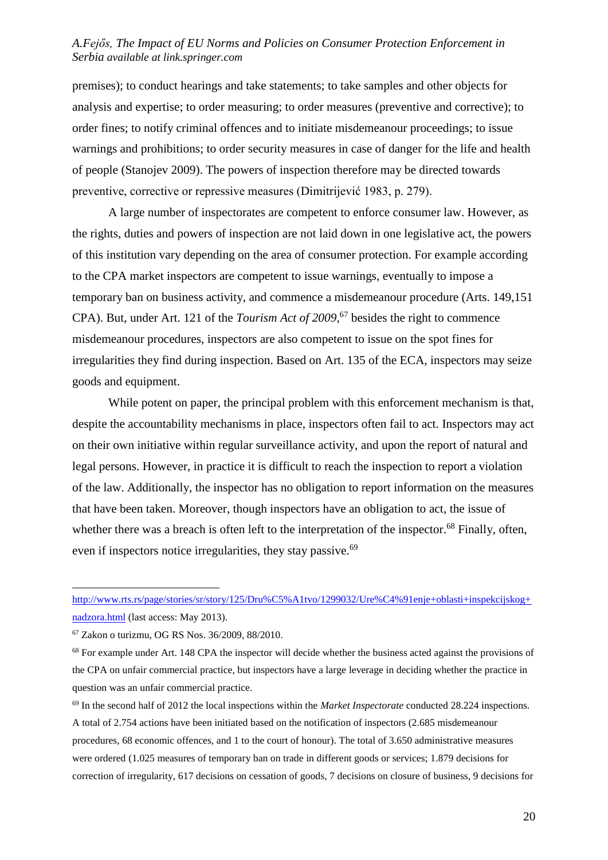premises); to conduct hearings and take statements; to take samples and other objects for analysis and expertise; to order measuring; to order measures (preventive and corrective); to order fines; to notify criminal offences and to initiate misdemeanour proceedings; to issue warnings and prohibitions; to order security measures in case of danger for the life and health of people (Stanojev 2009). The powers of inspection therefore may be directed towards preventive, corrective or repressive measures (Dimitrijević 1983, p. 279).

A large number of inspectorates are competent to enforce consumer law. However, as the rights, duties and powers of inspection are not laid down in one legislative act, the powers of this institution vary depending on the area of consumer protection. For example according to the CPA market inspectors are competent to issue warnings, eventually to impose a temporary ban on business activity, and commence a misdemeanour procedure (Arts. 149,151 CPA). But, under Art. 121 of the *Tourism Act of 2009*, <sup>67</sup> besides the right to commence misdemeanour procedures, inspectors are also competent to issue on the spot fines for irregularities they find during inspection. Based on Art. 135 of the ECA, inspectors may seize goods and equipment.

While potent on paper, the principal problem with this enforcement mechanism is that, despite the accountability mechanisms in place, inspectors often fail to act. Inspectors may act on their own initiative within regular surveillance activity, and upon the report of natural and legal persons. However, in practice it is difficult to reach the inspection to report a violation of the law. Additionally, the inspector has no obligation to report information on the measures that have been taken. Moreover, though inspectors have an obligation to act, the issue of whether there was a breach is often left to the interpretation of the inspector.<sup>68</sup> Finally, often, even if inspectors notice irregularities, they stay passive.<sup>69</sup>

http://www.rts.rs/page/stories/sr/story/125/Dru%C5%A1tvo/1299032/Ure%C4%91enie+oblasti+inspekcijskog+ [nadzora.html](http://www.rts.rs/page/stories/sr/story/125/Dru%C5%A1tvo/1299032/Ure%C4%91enje+oblasti+inspekcijskog+nadzora.html) (last access: May 2013).

<sup>67</sup> Zakon o turizmu, OG RS Nos. 36/2009, 88/2010.

<sup>&</sup>lt;sup>68</sup> For example under Art. 148 CPA the inspector will decide whether the business acted against the provisions of the CPA on unfair commercial practice, but inspectors have a large leverage in deciding whether the practice in question was an unfair commercial practice.

<sup>69</sup> In the second half of 2012 the local inspections within the *Market Inspectorate* conducted 28.224 inspections. A total of 2.754 actions have been initiated based on the notification of inspectors (2.685 misdemeanour procedures, 68 economic offences, and 1 to the court of honour). The total of 3.650 administrative measures were ordered (1.025 measures of temporary ban on trade in different goods or services; 1.879 decisions for correction of irregularity, 617 decisions on cessation of goods, 7 decisions on closure of business, 9 decisions for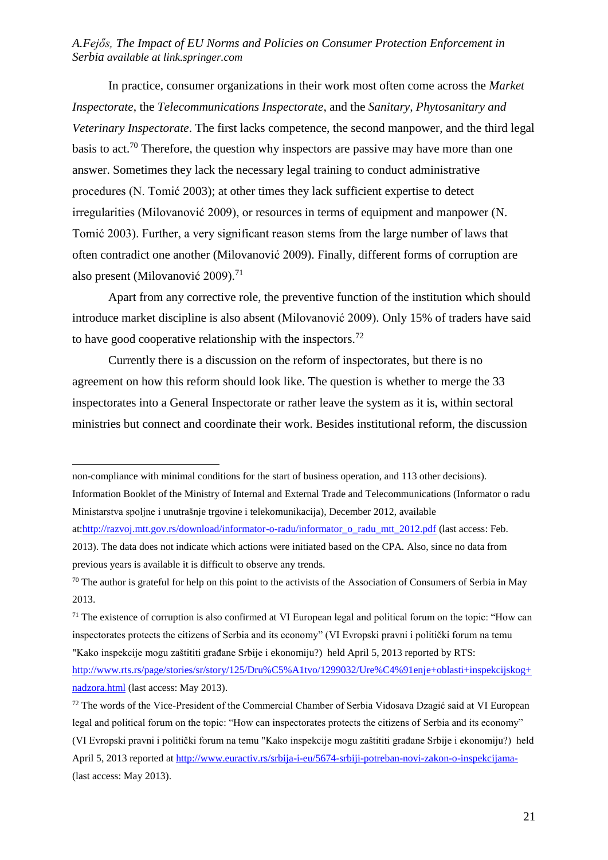In practice, consumer organizations in their work most often come across the *Market Inspectorate*, the *Telecommunications Inspectorate*, and the *Sanitary, Phytosanitary and Veterinary Inspectorate*. The first lacks competence, the second manpower, and the third legal basis to act.<sup>70</sup> Therefore, the question why inspectors are passive may have more than one answer. Sometimes they lack the necessary legal training to conduct administrative procedures (N. Tomić 2003); at other times they lack sufficient expertise to detect irregularities (Milovanović 2009), or resources in terms of equipment and manpower (N. Tomić 2003). Further, a very significant reason stems from the large number of laws that often contradict one another (Milovanović 2009). Finally, different forms of corruption are also present (Milovanović 2009).<sup>71</sup>

Apart from any corrective role, the preventive function of the institution which should introduce market discipline is also absent (Milovanović 2009). Only 15% of traders have said to have good cooperative relationship with the inspectors.<sup>72</sup>

Currently there is a discussion on the reform of inspectorates, but there is no agreement on how this reform should look like. The question is whether to merge the 33 inspectorates into a General Inspectorate or rather leave the system as it is, within sectoral ministries but connect and coordinate their work. Besides institutional reform, the discussion

<u>.</u>

at[:http://razvoj.mtt.gov.rs/download/informator-o-radu/informator\\_o\\_radu\\_mtt\\_2012.pdf](http://razvoj.mtt.gov.rs/download/informator-o-radu/informator_o_radu_mtt_2012.pdf) (last access: Feb. 2013). The data does not indicate which actions were initiated based on the CPA. Also, since no data from previous years is available it is difficult to observe any trends.

non-compliance with minimal conditions for the start of business operation, and 113 other decisions).

Information Booklet of the Ministry of Internal and External Trade and Telecommunications (Informator o radu Ministarstva spoljne i unutrašnje trgovine i telekomunikacija), December 2012, available

 $70$  The author is grateful for help on this point to the activists of the Association of Consumers of Serbia in May 2013.

 $71$  The existence of corruption is also confirmed at VI European legal and political forum on the topic: "How can inspectorates protects the citizens of Serbia and its economy" (VI Evropski pravni i politički forum na temu "Kako inspekcije mogu zaštititi građane Srbije i ekonomiju?) held April 5, 2013 reported by RTS:

[http://www.rts.rs/page/stories/sr/story/125/Dru%C5%A1tvo/1299032/Ure%C4%91enje+oblasti+inspekcijskog+](http://www.rts.rs/page/stories/sr/story/125/Dru%C5%A1tvo/1299032/Ure%C4%91enje+oblasti+inspekcijskog+nadzora.html) [nadzora.html](http://www.rts.rs/page/stories/sr/story/125/Dru%C5%A1tvo/1299032/Ure%C4%91enje+oblasti+inspekcijskog+nadzora.html) (last access: May 2013).

<sup>&</sup>lt;sup>72</sup> The words of the Vice-President of the Commercial Chamber of Serbia Vidosava Dzagić said at VI European legal and political forum on the topic: "How can inspectorates protects the citizens of Serbia and its economy" (VI Evropski pravni i politički forum na temu "Kako inspekcije mogu zaštititi građane Srbije i ekonomiju?) held April 5, 2013 reported at<http://www.euractiv.rs/srbija-i-eu/5674-srbiji-potreban-novi-zakon-o-inspekcijama-> (last access: May 2013).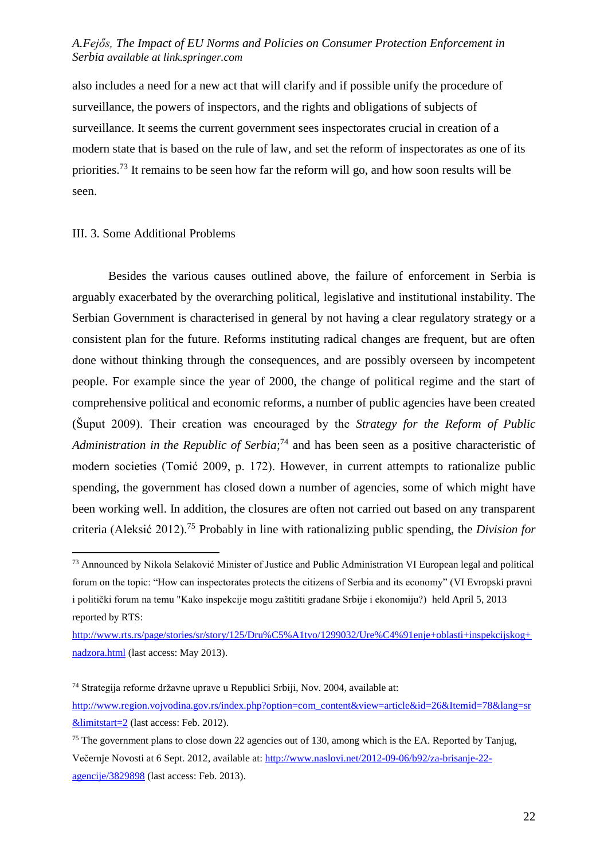also includes a need for a new act that will clarify and if possible unify the procedure of surveillance, the powers of inspectors, and the rights and obligations of subjects of surveillance. It seems the current government sees inspectorates crucial in creation of a modern state that is based on the rule of law, and set the reform of inspectorates as one of its priorities.<sup>73</sup> It remains to be seen how far the reform will go, and how soon results will be seen.

#### III. 3. Some Additional Problems

<u>.</u>

Besides the various causes outlined above, the failure of enforcement in Serbia is arguably exacerbated by the overarching political, legislative and institutional instability. The Serbian Government is characterised in general by not having a clear regulatory strategy or a consistent plan for the future. Reforms instituting radical changes are frequent, but are often done without thinking through the consequences, and are possibly overseen by incompetent people. For example since the year of 2000, the change of political regime and the start of comprehensive political and economic reforms, a number of public agencies have been created (Šuput 2009). Their creation was encouraged by the *Strategy for the Reform of Public Administration in the Republic of Serbia*; <sup>74</sup> and has been seen as a positive characteristic of modern societies (Tomić 2009, p. 172). However, in current attempts to rationalize public spending, the government has closed down a number of agencies, some of which might have been working well. In addition, the closures are often not carried out based on any transparent criteria (Aleksić 2012). <sup>75</sup> Probably in line with rationalizing public spending, the *Division for* 

<sup>73</sup> Announced by Nikola Selaković Minister of Justice and Public Administration VI European legal and political forum on the topic: "How can inspectorates protects the citizens of Serbia and its economy" (VI Evropski pravni i politički forum na temu "Kako inspekcije mogu zaštititi građane Srbije i ekonomiju?) held April 5, 2013 reported by RTS:

[http://www.rts.rs/page/stories/sr/story/125/Dru%C5%A1tvo/1299032/Ure%C4%91enje+oblasti+inspekcijskog+](http://www.rts.rs/page/stories/sr/story/125/Dru%C5%A1tvo/1299032/Ure%C4%91enje+oblasti+inspekcijskog+nadzora.html) [nadzora.html](http://www.rts.rs/page/stories/sr/story/125/Dru%C5%A1tvo/1299032/Ure%C4%91enje+oblasti+inspekcijskog+nadzora.html) (last access: May 2013).

<sup>74</sup> Strategija reforme državne uprave u Republici Srbiji, Nov. 2004, available at:

[http://www.region.vojvodina.gov.rs/index.php?option=com\\_content&view=article&id=26&Itemid=78&lang=sr](http://www.region.vojvodina.gov.rs/index.php?option=com_content&view=article&id=26&Itemid=78〈=sr&limitstart=2) [&limitstart=2](http://www.region.vojvodina.gov.rs/index.php?option=com_content&view=article&id=26&Itemid=78〈=sr&limitstart=2) (last access: Feb. 2012).

<sup>&</sup>lt;sup>75</sup> The government plans to close down 22 agencies out of 130, among which is the EA. Reported by Tanjug, Večernje Novosti at 6 Sept. 2012, available at[: http://www.naslovi.net/2012-09-06/b92/za-brisanje-22](http://www.naslovi.net/2012-09-06/b92/za-brisanje-22-agencije/3829898) [agencije/3829898](http://www.naslovi.net/2012-09-06/b92/za-brisanje-22-agencije/3829898) (last access: Feb. 2013).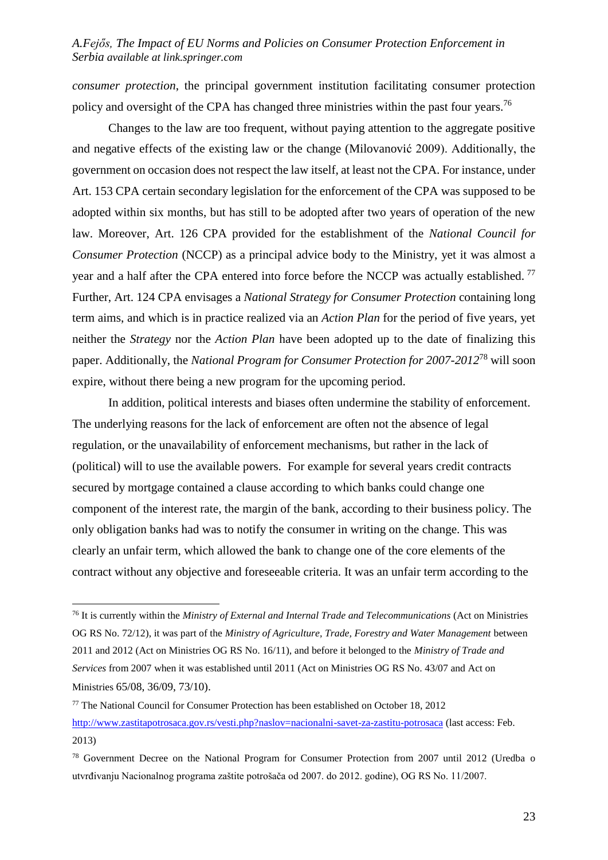*consumer protection*, the principal government institution facilitating consumer protection policy and oversight of the CPA has changed three ministries within the past four years.<sup>76</sup>

Changes to the law are too frequent, without paying attention to the aggregate positive and negative effects of the existing law or the change (Milovanović 2009). Additionally, the government on occasion does not respect the law itself, at least not the CPA. For instance, under Art. 153 CPA certain secondary legislation for the enforcement of the CPA was supposed to be adopted within six months, but has still to be adopted after two years of operation of the new law. Moreover, Art. 126 CPA provided for the establishment of the *National Council for Consumer Protection* (NCCP) as a principal advice body to the Ministry, yet it was almost a year and a half after the CPA entered into force before the NCCP was actually established.<sup>77</sup> Further, Art. 124 CPA envisages a *National Strategy for Consumer Protection* containing long term aims, and which is in practice realized via an *Action Plan* for the period of five years, yet neither the *Strategy* nor the *Action Plan* have been adopted up to the date of finalizing this paper. Additionally, the *National Program for Consumer Protection for 2007-2012*<sup>78</sup> will soon expire, without there being a new program for the upcoming period.

In addition, political interests and biases often undermine the stability of enforcement. The underlying reasons for the lack of enforcement are often not the absence of legal regulation, or the unavailability of enforcement mechanisms, but rather in the lack of (political) will to use the available powers. For example for several years credit contracts secured by mortgage contained a clause according to which banks could change one component of the interest rate, the margin of the bank, according to their business policy. The only obligation banks had was to notify the consumer in writing on the change. This was clearly an unfair term, which allowed the bank to change one of the core elements of the contract without any objective and foreseeable criteria. It was an unfair term according to the

<sup>76</sup> It is currently within the *Ministry of External and Internal Trade and Telecommunications* (Act on Ministries OG RS No. 72/12), it was part of the *Ministry of Agriculture, Trade, Forestry and Water Management* between 2011 and 2012 (Act on Ministries OG RS No. 16/11), and before it belonged to the *Ministry of Trade and Services* from 2007 when it was established until 2011 (Act on Ministries OG RS No. 43/07 and Act on Ministries 65/08, 36/09, 73/10).

<sup>77</sup> The National Council for Consumer Protection has been established on October 18, 2012 <http://www.zastitapotrosaca.gov.rs/vesti.php?naslov=nacionalni-savet-za-zastitu-potrosaca> (last access: Feb. 2013)

<sup>78</sup> Government Decree on the National Program for Consumer Protection from 2007 until 2012 (Uredba o utvrđivanju Nacionalnog programa zaštite potrošača od 2007. do 2012. godine), OG RS No. 11/2007.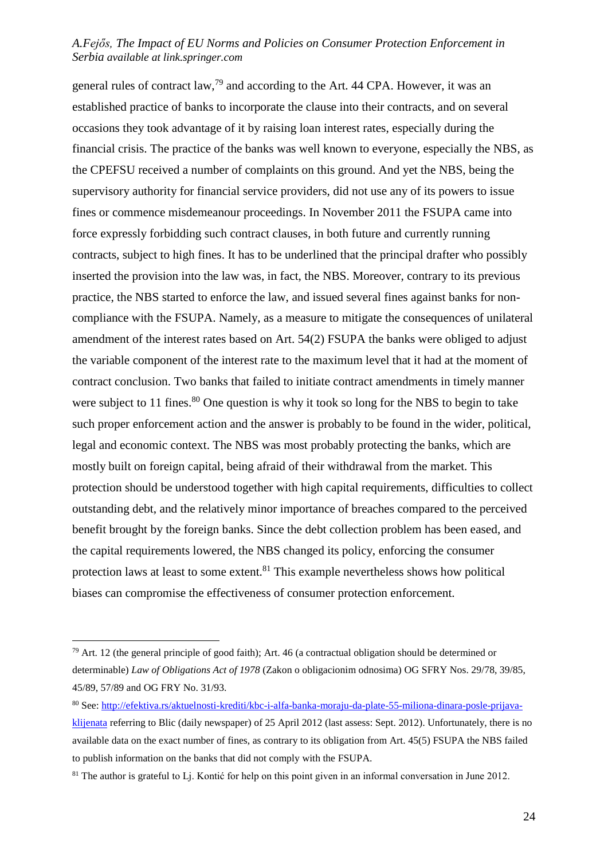general rules of contract law,<sup>79</sup> and according to the Art. 44 CPA. However, it was an established practice of banks to incorporate the clause into their contracts, and on several occasions they took advantage of it by raising loan interest rates, especially during the financial crisis. The practice of the banks was well known to everyone, especially the NBS, as the CPEFSU received a number of complaints on this ground. And yet the NBS, being the supervisory authority for financial service providers, did not use any of its powers to issue fines or commence misdemeanour proceedings. In November 2011 the FSUPA came into force expressly forbidding such contract clauses, in both future and currently running contracts, subject to high fines. It has to be underlined that the principal drafter who possibly inserted the provision into the law was, in fact, the NBS. Moreover, contrary to its previous practice, the NBS started to enforce the law, and issued several fines against banks for noncompliance with the FSUPA. Namely, as a measure to mitigate the consequences of unilateral amendment of the interest rates based on Art. 54(2) FSUPA the banks were obliged to adjust the variable component of the interest rate to the maximum level that it had at the moment of contract conclusion. Two banks that failed to initiate contract amendments in timely manner were subject to 11 fines.<sup>80</sup> One question is why it took so long for the NBS to begin to take such proper enforcement action and the answer is probably to be found in the wider, political, legal and economic context. The NBS was most probably protecting the banks, which are mostly built on foreign capital, being afraid of their withdrawal from the market. This protection should be understood together with high capital requirements, difficulties to collect outstanding debt, and the relatively minor importance of breaches compared to the perceived benefit brought by the foreign banks. Since the debt collection problem has been eased, and the capital requirements lowered, the NBS changed its policy, enforcing the consumer protection laws at least to some extent.<sup>81</sup> This example nevertheless shows how political biases can compromise the effectiveness of consumer protection enforcement.

<sup>&</sup>lt;sup>79</sup> Art. 12 (the general principle of good faith); Art. 46 (a contractual obligation should be determined or determinable) *Law of Obligations Act of 1978* (Zakon o obligacionim odnosima) OG SFRY Nos. 29/78, 39/85, 45/89, 57/89 and OG FRY No. 31/93.

<sup>80</sup> See: [http://efektiva.rs/aktuelnosti-krediti/kbc-i-alfa-banka-moraju-da-plate-55-miliona-dinara-posle-prijava](http://efektiva.rs/aktuelnosti-krediti/kbc-i-alfa-banka-moraju-da-plate-55-miliona-dinara-posle-prijava-klijenata)[klijenata](http://efektiva.rs/aktuelnosti-krediti/kbc-i-alfa-banka-moraju-da-plate-55-miliona-dinara-posle-prijava-klijenata) referring to Blic (daily newspaper) of 25 April 2012 (last assess: Sept. 2012). Unfortunately, there is no available data on the exact number of fines, as contrary to its obligation from Art. 45(5) FSUPA the NBS failed to publish information on the banks that did not comply with the FSUPA.

<sup>&</sup>lt;sup>81</sup> The author is grateful to L<sub>l</sub>. Kontić for help on this point given in an informal conversation in June 2012.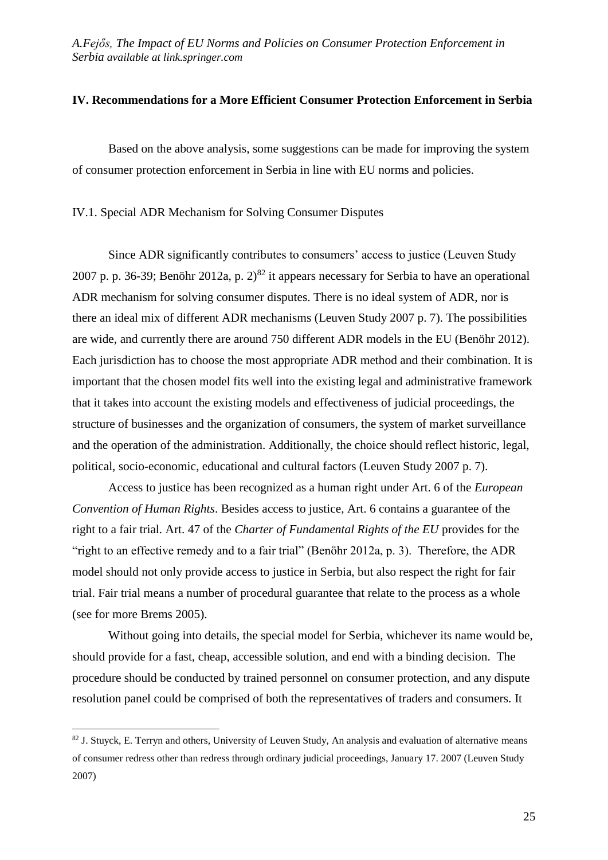#### **IV. Recommendations for a More Efficient Consumer Protection Enforcement in Serbia**

Based on the above analysis, some suggestions can be made for improving the system of consumer protection enforcement in Serbia in line with EU norms and policies.

IV.1. Special ADR Mechanism for Solving Consumer Disputes

Since ADR significantly contributes to consumers' access to justice (Leuven Study 2007 p. p. 36-39; Benöhr 2012a, p.  $2^{82}$  it appears necessary for Serbia to have an operational ADR mechanism for solving consumer disputes. There is no ideal system of ADR, nor is there an ideal mix of different ADR mechanisms (Leuven Study 2007 p. 7). The possibilities are wide, and currently there are around 750 different ADR models in the EU (Benöhr 2012). Each jurisdiction has to choose the most appropriate ADR method and their combination. It is important that the chosen model fits well into the existing legal and administrative framework that it takes into account the existing models and effectiveness of judicial proceedings, the structure of businesses and the organization of consumers, the system of market surveillance and the operation of the administration. Additionally, the choice should reflect historic, legal, political, socio-economic, educational and cultural factors (Leuven Study 2007 p. 7).

Access to justice has been recognized as a human right under Art. 6 of the *European Convention of Human Rights*. Besides access to justice, Art. 6 contains a guarantee of the right to a fair trial. Art. 47 of the *Charter of Fundamental Rights of the EU* provides for the "right to an effective remedy and to a fair trial" (Benöhr 2012a, p. 3). Therefore, the ADR model should not only provide access to justice in Serbia, but also respect the right for fair trial. Fair trial means a number of procedural guarantee that relate to the process as a whole (see for more Brems 2005).

Without going into details, the special model for Serbia, whichever its name would be, should provide for a fast, cheap, accessible solution, and end with a binding decision. The procedure should be conducted by trained personnel on consumer protection, and any dispute resolution panel could be comprised of both the representatives of traders and consumers. It

<sup>&</sup>lt;sup>82</sup> J. Stuyck, E. Terryn and others, University of Leuven Study, An analysis and evaluation of alternative means of consumer redress other than redress through ordinary judicial proceedings, January 17. 2007 (Leuven Study 2007)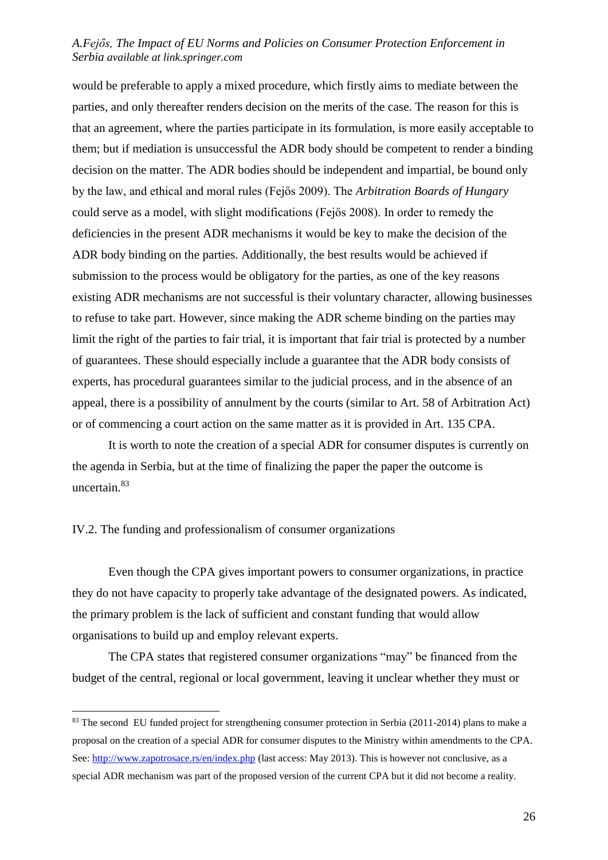would be preferable to apply a mixed procedure, which firstly aims to mediate between the parties, and only thereafter renders decision on the merits of the case. The reason for this is that an agreement, where the parties participate in its formulation, is more easily acceptable to them; but if mediation is unsuccessful the ADR body should be competent to render a binding decision on the matter. The ADR bodies should be independent and impartial, be bound only by the law, and ethical and moral rules (Fejős 2009). The *Arbitration Boards of Hungary* could serve as a model, with slight modifications (Fejős 2008). In order to remedy the deficiencies in the present ADR mechanisms it would be key to make the decision of the ADR body binding on the parties. Additionally, the best results would be achieved if submission to the process would be obligatory for the parties, as one of the key reasons existing ADR mechanisms are not successful is their voluntary character, allowing businesses to refuse to take part. However, since making the ADR scheme binding on the parties may limit the right of the parties to fair trial, it is important that fair trial is protected by a number of guarantees. These should especially include a guarantee that the ADR body consists of experts, has procedural guarantees similar to the judicial process, and in the absence of an appeal, there is a possibility of annulment by the courts (similar to Art. 58 of Arbitration Act) or of commencing a court action on the same matter as it is provided in Art. 135 CPA.

It is worth to note the creation of a special ADR for consumer disputes is currently on the agenda in Serbia, but at the time of finalizing the paper the paper the outcome is uncertain.<sup>83</sup>

#### IV.2. The funding and professionalism of consumer organizations

<u>.</u>

Even though the CPA gives important powers to consumer organizations, in practice they do not have capacity to properly take advantage of the designated powers. As indicated, the primary problem is the lack of sufficient and constant funding that would allow organisations to build up and employ relevant experts.

The CPA states that registered consumer organizations "may" be financed from the budget of the central, regional or local government, leaving it unclear whether they must or

<sup>&</sup>lt;sup>83</sup> The second EU funded project for strengthening consumer protection in Serbia (2011-2014) plans to make a proposal on the creation of a special ADR for consumer disputes to the Ministry within amendments to the CPA. See:<http://www.zapotrosace.rs/en/index.php> (last access: May 2013). This is however not conclusive, as a special ADR mechanism was part of the proposed version of the current CPA but it did not become a reality.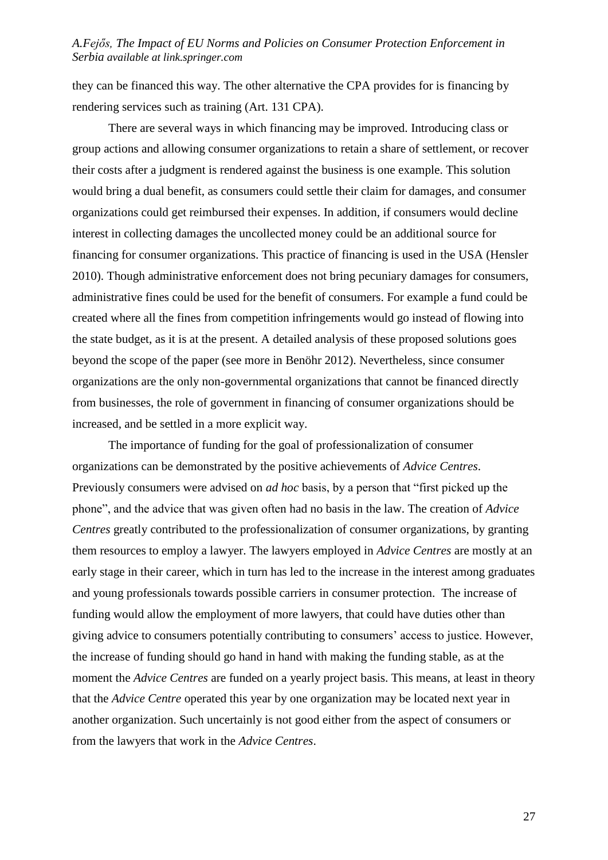they can be financed this way. The other alternative the CPA provides for is financing by rendering services such as training (Art. 131 CPA).

There are several ways in which financing may be improved. Introducing class or group actions and allowing consumer organizations to retain a share of settlement, or recover their costs after a judgment is rendered against the business is one example. This solution would bring a dual benefit, as consumers could settle their claim for damages, and consumer organizations could get reimbursed their expenses. In addition, if consumers would decline interest in collecting damages the uncollected money could be an additional source for financing for consumer organizations. This practice of financing is used in the USA (Hensler 2010). Though administrative enforcement does not bring pecuniary damages for consumers, administrative fines could be used for the benefit of consumers. For example a fund could be created where all the fines from competition infringements would go instead of flowing into the state budget, as it is at the present. A detailed analysis of these proposed solutions goes beyond the scope of the paper (see more in Benöhr 2012). Nevertheless, since consumer organizations are the only non-governmental organizations that cannot be financed directly from businesses, the role of government in financing of consumer organizations should be increased, and be settled in a more explicit way.

The importance of funding for the goal of professionalization of consumer organizations can be demonstrated by the positive achievements of *Advice Centres*. Previously consumers were advised on *ad hoc* basis, by a person that "first picked up the phone", and the advice that was given often had no basis in the law. The creation of *Advice Centres* greatly contributed to the professionalization of consumer organizations, by granting them resources to employ a lawyer. The lawyers employed in *Advice Centres* are mostly at an early stage in their career, which in turn has led to the increase in the interest among graduates and young professionals towards possible carriers in consumer protection. The increase of funding would allow the employment of more lawyers, that could have duties other than giving advice to consumers potentially contributing to consumers' access to justice. However, the increase of funding should go hand in hand with making the funding stable, as at the moment the *Advice Centres* are funded on a yearly project basis. This means, at least in theory that the *Advice Centre* operated this year by one organization may be located next year in another organization. Such uncertainly is not good either from the aspect of consumers or from the lawyers that work in the *Advice Centres*.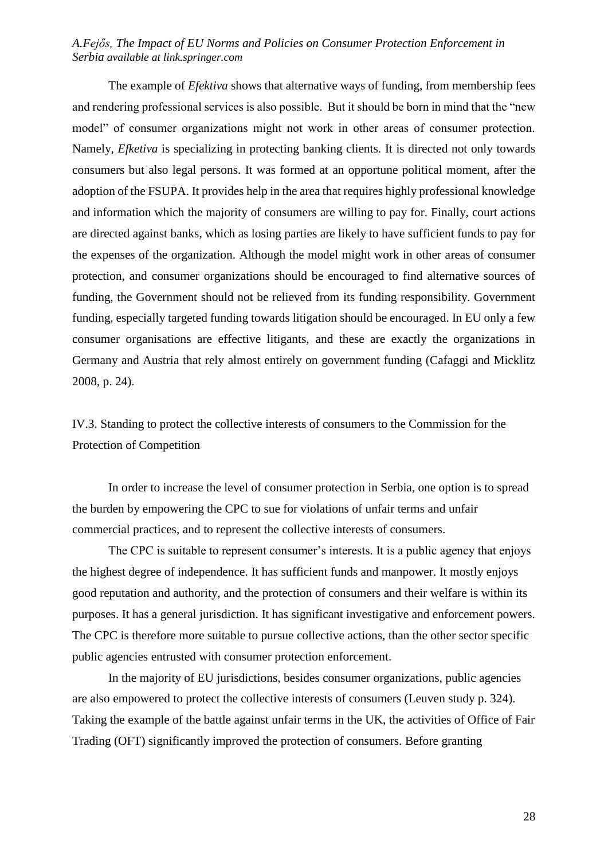The example of *Efektiva* shows that alternative ways of funding, from membership fees and rendering professional services is also possible. But it should be born in mind that the "new model" of consumer organizations might not work in other areas of consumer protection. Namely, *Efketiva* is specializing in protecting banking clients. It is directed not only towards consumers but also legal persons. It was formed at an opportune political moment, after the adoption of the FSUPA. It provides help in the area that requires highly professional knowledge and information which the majority of consumers are willing to pay for. Finally, court actions are directed against banks, which as losing parties are likely to have sufficient funds to pay for the expenses of the organization. Although the model might work in other areas of consumer protection, and consumer organizations should be encouraged to find alternative sources of funding, the Government should not be relieved from its funding responsibility. Government funding, especially targeted funding towards litigation should be encouraged. In EU only a few consumer organisations are effective litigants, and these are exactly the organizations in Germany and Austria that rely almost entirely on government funding (Cafaggi and Micklitz 2008, p. 24).

IV.3. Standing to protect the collective interests of consumers to the Commission for the Protection of Competition

In order to increase the level of consumer protection in Serbia, one option is to spread the burden by empowering the CPC to sue for violations of unfair terms and unfair commercial practices, and to represent the collective interests of consumers.

The CPC is suitable to represent consumer's interests. It is a public agency that enjoys the highest degree of independence. It has sufficient funds and manpower. It mostly enjoys good reputation and authority, and the protection of consumers and their welfare is within its purposes. It has a general jurisdiction. It has significant investigative and enforcement powers. The CPC is therefore more suitable to pursue collective actions, than the other sector specific public agencies entrusted with consumer protection enforcement.

In the majority of EU jurisdictions, besides consumer organizations, public agencies are also empowered to protect the collective interests of consumers (Leuven study p. 324). Taking the example of the battle against unfair terms in the UK, the activities of Office of Fair Trading (OFT) significantly improved the protection of consumers. Before granting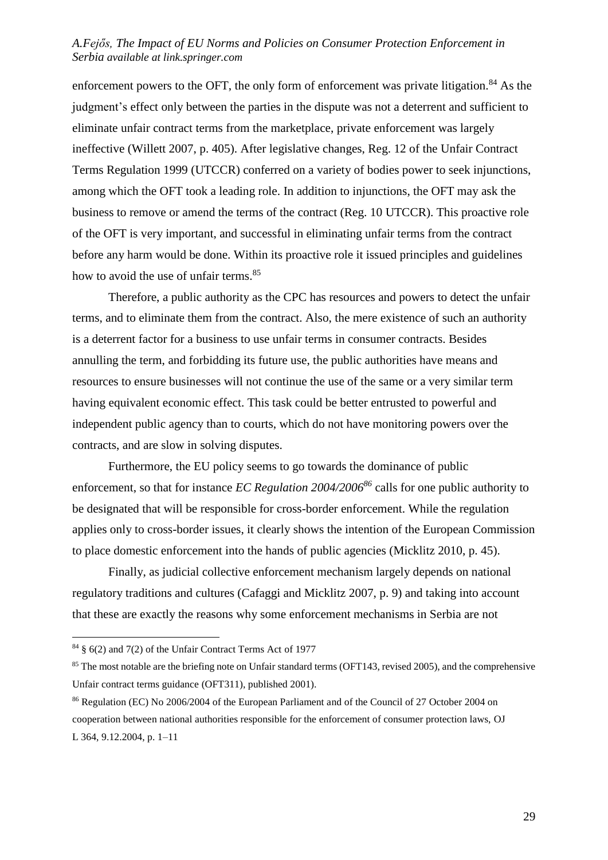enforcement powers to the OFT, the only form of enforcement was private litigation.<sup>84</sup> As the judgment's effect only between the parties in the dispute was not a deterrent and sufficient to eliminate unfair contract terms from the marketplace, private enforcement was largely ineffective (Willett 2007, p. 405). After legislative changes, Reg. 12 of the Unfair Contract Terms Regulation 1999 (UTCCR) conferred on a variety of bodies power to seek injunctions, among which the OFT took a leading role. In addition to injunctions, the OFT may ask the business to remove or amend the terms of the contract (Reg. 10 UTCCR). This proactive role of the OFT is very important, and successful in eliminating unfair terms from the contract before any harm would be done. Within its proactive role it issued principles and guidelines how to avoid the use of unfair terms.<sup>85</sup>

Therefore, a public authority as the CPC has resources and powers to detect the unfair terms, and to eliminate them from the contract. Also, the mere existence of such an authority is a deterrent factor for a business to use unfair terms in consumer contracts. Besides annulling the term, and forbidding its future use, the public authorities have means and resources to ensure businesses will not continue the use of the same or a very similar term having equivalent economic effect. This task could be better entrusted to powerful and independent public agency than to courts, which do not have monitoring powers over the contracts, and are slow in solving disputes.

Furthermore, the EU policy seems to go towards the dominance of public enforcement, so that for instance *EC Regulation 2004/2006<sup>86</sup>* calls for one public authority to be designated that will be responsible for cross-border enforcement. While the regulation applies only to cross-border issues, it clearly shows the intention of the European Commission to place domestic enforcement into the hands of public agencies (Micklitz 2010, p. 45).

Finally, as judicial collective enforcement mechanism largely depends on national regulatory traditions and cultures (Cafaggi and Micklitz 2007, p. 9) and taking into account that these are exactly the reasons why some enforcement mechanisms in Serbia are not

 $84 \text{ }\frac{8}{3}$  6(2) and 7(2) of the Unfair Contract Terms Act of 1977

<sup>&</sup>lt;sup>85</sup> The most notable are the briefing note on Unfair standard terms (OFT143, revised 2005), and the comprehensive Unfair contract terms guidance (OFT311), published 2001).

<sup>86</sup> Regulation (EC) No 2006/2004 of the European Parliament and of the Council of 27 October 2004 on cooperation between national authorities responsible for the enforcement of consumer protection laws, OJ L 364, 9.12.2004, p. 1–11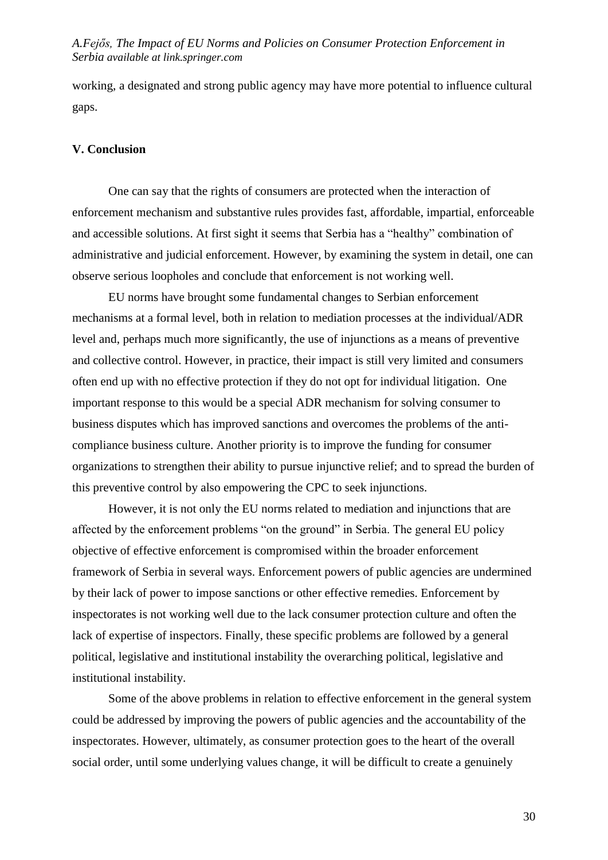working, a designated and strong public agency may have more potential to influence cultural gaps.

#### **V. Conclusion**

One can say that the rights of consumers are protected when the interaction of enforcement mechanism and substantive rules provides fast, affordable, impartial, enforceable and accessible solutions. At first sight it seems that Serbia has a "healthy" combination of administrative and judicial enforcement. However, by examining the system in detail, one can observe serious loopholes and conclude that enforcement is not working well.

EU norms have brought some fundamental changes to Serbian enforcement mechanisms at a formal level, both in relation to mediation processes at the individual/ADR level and, perhaps much more significantly, the use of injunctions as a means of preventive and collective control. However, in practice, their impact is still very limited and consumers often end up with no effective protection if they do not opt for individual litigation. One important response to this would be a special ADR mechanism for solving consumer to business disputes which has improved sanctions and overcomes the problems of the anticompliance business culture. Another priority is to improve the funding for consumer organizations to strengthen their ability to pursue injunctive relief; and to spread the burden of this preventive control by also empowering the CPC to seek injunctions.

However, it is not only the EU norms related to mediation and injunctions that are affected by the enforcement problems "on the ground" in Serbia. The general EU policy objective of effective enforcement is compromised within the broader enforcement framework of Serbia in several ways. Enforcement powers of public agencies are undermined by their lack of power to impose sanctions or other effective remedies. Enforcement by inspectorates is not working well due to the lack consumer protection culture and often the lack of expertise of inspectors. Finally, these specific problems are followed by a general political, legislative and institutional instability the overarching political, legislative and institutional instability.

Some of the above problems in relation to effective enforcement in the general system could be addressed by improving the powers of public agencies and the accountability of the inspectorates. However, ultimately, as consumer protection goes to the heart of the overall social order, until some underlying values change, it will be difficult to create a genuinely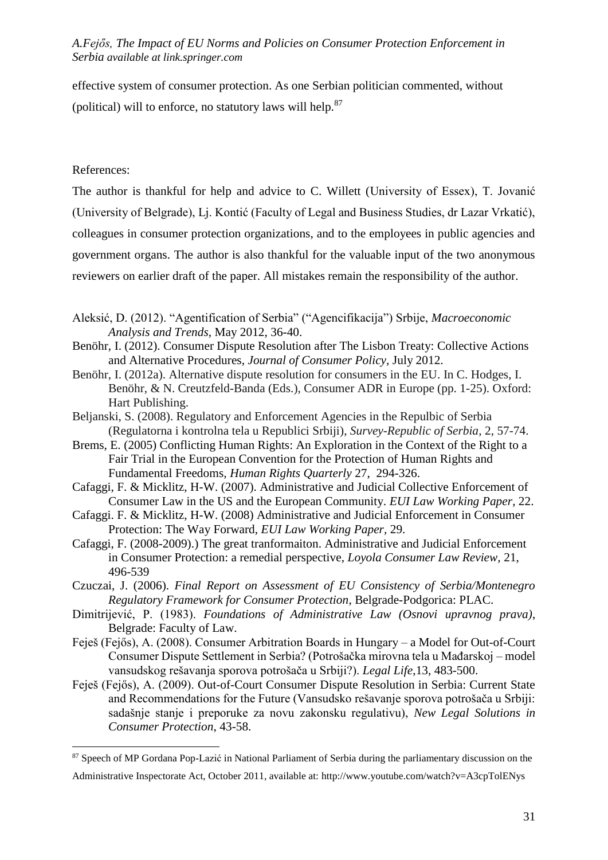effective system of consumer protection. As one Serbian politician commented, without (political) will to enforce, no statutory laws will help. $87$ 

#### References:

1

The author is thankful for help and advice to C. Willett (University of Essex), T. Jovanić (University of Belgrade), Lj. Kontić (Faculty of Legal and Business Studies, dr Lazar Vrkatić), colleagues in consumer protection organizations, and to the employees in public agencies and government organs. The author is also thankful for the valuable input of the two anonymous reviewers on earlier draft of the paper. All mistakes remain the responsibility of the author.

- Aleksić, D. (2012). "Agentification of Serbia" ("Agencifikacija") Srbije, *Macroeconomic Analysis and Trends,* May 2012, 36-40.
- Benöhr, I. (2012). Consumer Dispute Resolution after The Lisbon Treaty: Collective Actions and Alternative Procedures, *Journal of Consumer Policy,* July 2012.
- Benöhr, I. (2012a). Alternative dispute resolution for consumers in the EU. In C. Hodges, I. Benöhr, & N. Creutzfeld-Banda (Eds.), Consumer ADR in Europe (pp. 1-25). Oxford: Hart Publishing.
- Beljanski, S. (2008). Regulatory and Enforcement Agencies in the Repulbic of Serbia (Regulatorna i kontrolna tela u Republici Srbiji), *Survey-Republic of Serbia,* 2, 57-74.
- Brems, E. (2005) Conflicting Human Rights: An Exploration in the Context of the Right to a Fair Trial in the European Convention for the Protection of Human Rights and Fundamental Freedoms*, Human Rights Quarterly* 27, 294-326.
- Cafaggi, F. & Micklitz, H-W. (2007). Administrative and Judicial Collective Enforcement of Consumer Law in the US and the European Community. *EUI Law Working Paper*, 22.
- Cafaggi. F. & Micklitz, H-W. (2008) Administrative and Judicial Enforcement in Consumer Protection: The Way Forward, *EUI Law Working Paper,* 29.
- Cafaggi, F. (2008-2009).) The great tranformaiton. Administrative and Judicial Enforcement in Consumer Protection: a remedial perspective, *Loyola Consumer Law Review,* 21, 496-539
- Czuczai, J. (2006). *Final Report on Assessment of EU Consistency of Serbia/Montenegro Regulatory Framework for Consumer Protection*, Belgrade-Podgorica: PLAC.
- Dimitrijević, P. (1983). *Foundations of Administrative Law (Osnovi upravnog prava)*, Belgrade: Faculty of Law.
- Feieš (Feiős), A. (2008). Consumer Arbitration Boards in Hungary a Model for Out-of-Court Consumer Dispute Settlement in Serbia? (Potrošačka mirovna tela u Mađarskoj – model vansudskog rešavanja sporova potrošača u Srbiji?). *Legal Life*,13, 483-500.
- Feješ (Fejős), A. (2009). Out-of-Court Consumer Dispute Resolution in Serbia: Current State and Recommendations for the Future (Vansudsko rešavanje sporova potrošača u Srbiji: sadašnje stanje i preporuke za novu zakonsku regulativu), *New Legal Solutions in Consumer Protection*, 43-58.

<sup>&</sup>lt;sup>87</sup> Speech of MP Gordana Pop-Lazić in National Parliament of Serbia during the parliamentary discussion on the

Administrative Inspectorate Act, October 2011, available at: http://www.youtube.com/watch?v=A3cpTolENys